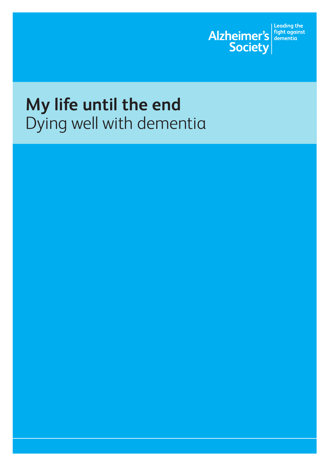

# **My life until the end** Dying well with dementia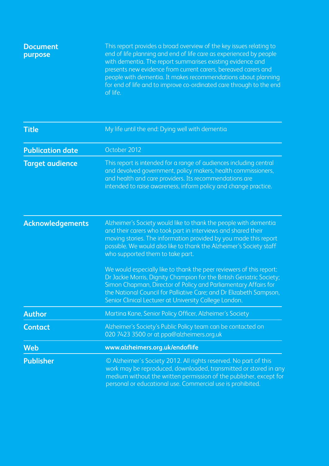| <b>Document</b><br>purpose | This report provides a broad overview of the key issues relating to<br>end of life planning and end of life care as experienced by people<br>with dementia. The report summarises existing evidence and<br>presents new evidence from current carers, bereaved carers and<br>people with dementia. It makes recommendations about planning<br>for end of life and to improve co-ordinated care through to the end |
|----------------------------|-------------------------------------------------------------------------------------------------------------------------------------------------------------------------------------------------------------------------------------------------------------------------------------------------------------------------------------------------------------------------------------------------------------------|
|                            | of life.                                                                                                                                                                                                                                                                                                                                                                                                          |

| My life until the end: Dying well with dementia<br><b>Title</b> |                                                                                                                                                                                                                                                                                                                                                   |  |
|-----------------------------------------------------------------|---------------------------------------------------------------------------------------------------------------------------------------------------------------------------------------------------------------------------------------------------------------------------------------------------------------------------------------------------|--|
| <b>Publication date</b>                                         | October 2012                                                                                                                                                                                                                                                                                                                                      |  |
| <b>Target audience</b>                                          | This report is intended for a range of audiences including central<br>and devolved government, policy makers, health commissioners,<br>and health and care providers. Its recommendations are<br>intended to raise awareness, inform policy and change practice.                                                                                  |  |
| <b>Acknowledgements</b>                                         | Alzheimer's Society would like to thank the people with dementia<br>and their carers who took part in interviews and shared their<br>moving stories. The information provided by you made this report<br>possible. We would also like to thank the Alzheimer's Society staff<br>who supported them to take part.                                  |  |
|                                                                 | We would especially like to thank the peer reviewers of this report:<br>Dr Jackie Morris, Dignity Champion for the British Geriatric Society;<br>Simon Chapman, Director of Policy and Parliamentary Affairs for<br>the National Council for Palliative Care; and Dr Elizabeth Sampson,<br>Senior Clinical Lecturer at University College London. |  |
| <b>Author</b>                                                   | Martina Kane, Senior Policy Officer, Alzheimer's Society                                                                                                                                                                                                                                                                                          |  |
| <b>Contact</b>                                                  | Alzheimer's Society's Public Policy team can be contacted on<br>020 7423 3500 or at ppa@alzheimers.org.uk                                                                                                                                                                                                                                         |  |
| <b>Web</b>                                                      | www.alzheimers.org.uk/endoflife                                                                                                                                                                                                                                                                                                                   |  |
| <b>Publisher</b>                                                | © Alzheimer's Society 2012. All rights reserved. No part of this<br>work may be reproduced, downloaded, transmitted or stored in any<br>medium without the written permission of the publisher, except for<br>personal or educational use. Commercial use is prohibited.                                                                          |  |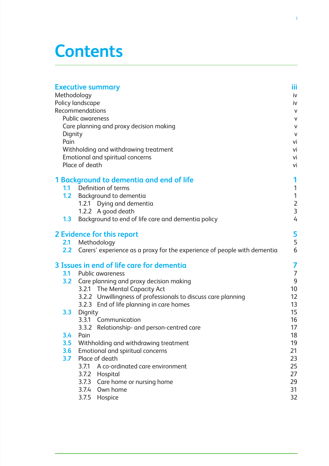# **Contents**

| Methodology<br>Dignity<br>Pain                | <b>Executive summary</b><br>Policy landscape<br>Recommendations<br>Public awareness<br>Care planning and proxy decision making<br>Withholding and withdrawing treatment<br>Emotional and spiritual concerns<br>Place of death                                                                                                                                                                                                                                                                                                                                                             | iii<br>İ٧<br>i٧<br>٧<br>٧<br>V<br>٧<br>vi<br>vi<br>vi<br>vi                                                        |
|-----------------------------------------------|-------------------------------------------------------------------------------------------------------------------------------------------------------------------------------------------------------------------------------------------------------------------------------------------------------------------------------------------------------------------------------------------------------------------------------------------------------------------------------------------------------------------------------------------------------------------------------------------|--------------------------------------------------------------------------------------------------------------------|
| 1.3                                           | 1 Background to dementia and end of life<br>1.1 Definition of terms<br>1.2 Background to dementia<br>1.2.1 Dying and dementia<br>1.2.2 A good death<br>Background to end of life care and dementia policy                                                                                                                                                                                                                                                                                                                                                                                 | 1<br>1<br>1<br>$\frac{2}{3}$<br>4                                                                                  |
|                                               | 2 Evidence for this report<br>2.1 Methodology<br>2.2 Carers' experience as a proxy for the experience of people with dementia                                                                                                                                                                                                                                                                                                                                                                                                                                                             | 5<br>5<br>6                                                                                                        |
| 3.1<br>3.2<br>3.3<br>3.4<br>3.5<br>3.6<br>3.7 | 3 Issues in end of life care for dementia<br><b>Public awareness</b><br>Care planning and proxy decision making<br>3.2.1 The Mental Capacity Act<br>3.2.2 Unwillingness of professionals to discuss care planning<br>3.2.3 End of life planning in care homes<br>Dignity<br>3.3.1 Communication<br>3.3.2 Relationship- and person-centred care<br>Pain<br>Withholding and withdrawing treatment<br>Emotional and spiritual concerns<br>Place of death<br>A co-ordinated care environment<br>3.7.1<br>3.7.2 Hospital<br>3.7.3 Care home or nursing home<br>3.7.4 Own home<br>3.7.5 Hospice | 7<br>$\overline{7}$<br>9<br>10<br>12<br>13<br>15<br>16<br>17<br>18<br>19<br>21<br>23<br>25<br>27<br>29<br>31<br>32 |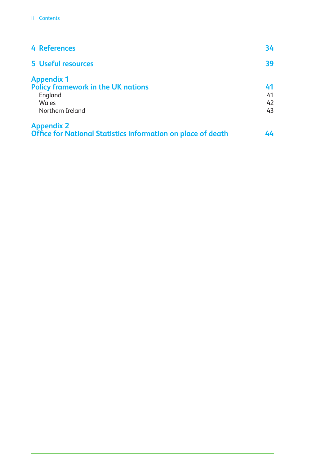| 4 References                                                                                                  | 34                   |
|---------------------------------------------------------------------------------------------------------------|----------------------|
| 5 Useful resources                                                                                            | 39                   |
| <b>Appendix 1</b><br><b>Policy framework in the UK nations</b><br>England<br><b>Wales</b><br>Northern Ireland | 41<br>41<br>42<br>43 |
| <b>Appendix 2</b><br><b>Office for National Statistics information on place of death</b>                      | 44                   |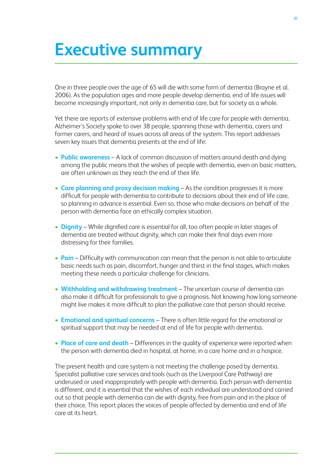## **Executive summary**

One in three people over the age of 65 will die with some form of dementia (Brayne et al, 2006). As the population ages and more people develop dementia, end of life issues will become increasingly important, not only in dementia care, but for society as a whole.

Yet there are reports of extensive problems with end of life care for people with dementia. Alzheimer's Society spoke to over 38 people, spanning those with dementia, carers and former carers, and heard of issues across all areas of the system. This report addresses seven key issues that dementia presents at the end of life:

- **Public awareness** A lack of common discussion of matters around death and dying among the public means that the wishes of people with dementia, even on basic matters, are often unknown as they reach the end of their life.
- **Care planning and proxy decision making** As the condition progresses it is more difficult for people with dementia to contribute to decisions about their end of life care, so planning in advance is essential. Even so, those who make decisions on behalf of the person with dementia face an ethically complex situation.
- **Dignity** While dignified care is essential for all, too often people in later stages of dementia are treated without dignity, which can make their final days even more distressing for their families.
- **Pain** Difficulty with communication can mean that the person is not able to articulate basic needs such as pain, discomfort, hunger and thirst in the final stages, which makes meeting these needs a particular challenge for clinicians.
- **Withholding and withdrawing treatment** The uncertain course of dementia can also make it difficult for professionals to give a prognosis. Not knowing how long someone might live makes it more difficult to plan the palliative care that person should receive.
- **Emotional and spiritual concerns** There is often little regard for the emotional or spiritual support that may be needed at end of life for people with dementia.
- **Place of care and death** Differences in the quality of experience were reported when the person with dementia died in hospital, at home, in a care home and in a hospice.

The present health and care system is not meeting the challenge posed by dementia. Specialist palliative care services and tools (such as the Liverpool Care Pathway) are underused or used inappropriately with people with dementia. Each person with dementia is different, and it is essential that the wishes of each individual are understood and carried out so that people with dementia can die with dignity, free from pain and in the place of their choice. This report places the voices of people affected by dementia and end of life care at its heart.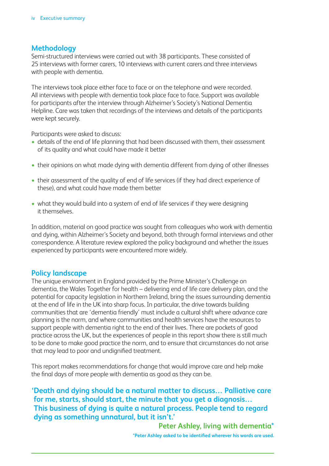## **Methodology**

Semi-structured interviews were carried out with 38 participants. These consisted of 25 interviews with former carers, 10 interviews with current carers and three interviews with people with dementia.

The interviews took place either face to face or on the telephone and were recorded. All interviews with people with dementia took place face to face. Support was available for participants after the interview through Alzheimer's Society's National Dementia Helpline. Care was taken that recordings of the interviews and details of the participants were kept securely.

Participants were asked to discuss:

- details of the end of life planning that had been discussed with them, their assessment of its quality and what could have made it better
- their opinions on what made dying with dementia different from dying of other illnesses
- their assessment of the quality of end of life services (if they had direct experience of these), and what could have made them better
- what they would build into a system of end of life services if they were designing it themselves.

In addition, material on good practice was sought from colleagues who work with dementia and dying, within Alzheimer's Society and beyond, both through formal interviews and other correspondence. A literature review explored the policy background and whether the issues experienced by participants were encountered more widely.

## **Policy landscape**

The unique environment in England provided by the Prime Minister's Challenge on dementia, the Wales Together for health – delivering end of life care delivery plan, and the potential for capacity legislation in Northern Ireland, bring the issues surrounding dementia at the end of life in the UK into sharp focus. In particular, the drive towards building communities that are 'dementia friendly' must include a cultural shift where advance care planning is the norm, and where communities and health services have the resources to support people with dementia right to the end of their lives. There are pockets of good practice across the UK, but the experiences of people in this report show there is still much to be done to make good practice the norm, and to ensure that circumstances do not arise that may lead to poor and undignified treatment.

This report makes recommendations for change that would improve care and help make the final days of more people with dementia as good as they can be.

**'Death and dying should be a natural matter to discuss… Palliative care for me, starts, should start, the minute that you get a diagnosis… This business of dying is quite a natural process. People tend to regard dying as something unnatural, but it isn't.'**

> **Peter Ashley, living with dementia\* \*Peter Ashley asked to be identified wherever his words are used.**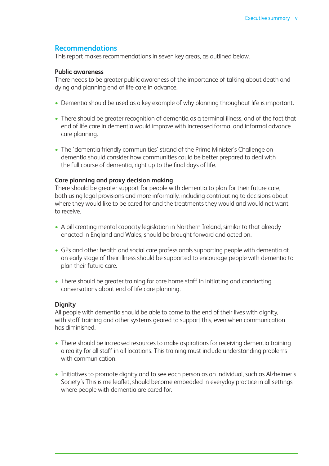#### **Recommendations**

This report makes recommendations in seven key areas, as outlined below.

#### **Public awareness**

There needs to be greater public awareness of the importance of talking about death and dying and planning end of life care in advance.

- Dementia should be used as a key example of why planning throughout life is important.
- There should be greater recognition of dementia as a terminal illness, and of the fact that end of life care in dementia would improve with increased formal and informal advance care planning.
- The 'dementia friendly communities' strand of the Prime Minister's Challenge on dementia should consider how communities could be better prepared to deal with the full course of dementia, right up to the final days of life.

#### **Care planning and proxy decision making**

There should be greater support for people with dementia to plan for their future care, both using legal provisions and more informally, including contributing to decisions about where they would like to be cared for and the treatments they would and would not want to receive.

- A bill creating mental capacity legislation in Northern Ireland, similar to that already enacted in England and Wales, should be brought forward and acted on.
- GPs and other health and social care professionals supporting people with dementia at an early stage of their illness should be supported to encourage people with dementia to plan their future care.
- There should be greater training for care home staff in initiating and conducting conversations about end of life care planning.

#### **Dignity**

All people with dementia should be able to come to the end of their lives with dignity, with staff training and other systems geared to support this, even when communication has diminished.

- There should be increased resources to make aspirations for receiving dementia training a reality for all staff in all locations. This training must include understanding problems with communication.
- Initiatives to promote dignity and to see each person as an individual, such as Alzheimer's Society's This is me leaflet, should become embedded in everyday practice in all settings where people with dementia are cared for.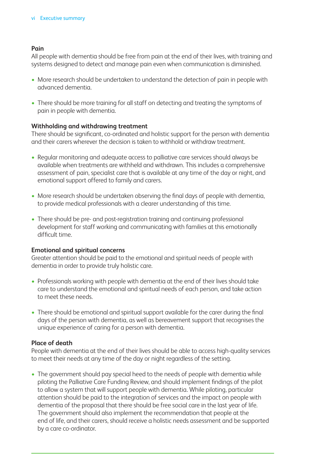#### **Pain**

All people with dementia should be free from pain at the end of their lives, with training and systems designed to detect and manage pain even when communication is diminished.

- More research should be undertaken to understand the detection of pain in people with advanced dementia.
- There should be more training for all staff on detecting and treating the symptoms of pain in people with dementia.

#### **Withholding and withdrawing treatment**

There should be significant, co-ordinated and holistic support for the person with dementia and their carers wherever the decision is taken to withhold or withdraw treatment.

- Regular monitoring and adequate access to palliative care services should always be available when treatments are withheld and withdrawn. This includes a comprehensive assessment of pain, specialist care that is available at any time of the day or night, and emotional support offered to family and carers.
- More research should be undertaken observing the final days of people with dementia, to provide medical professionals with a clearer understanding of this time.
- There should be pre- and post-registration training and continuing professional development for staff working and communicating with families at this emotionally difficult time.

#### **Emotional and spiritual concerns**

Greater attention should be paid to the emotional and spiritual needs of people with dementia in order to provide truly holistic care.

- Professionals working with people with dementia at the end of their lives should take care to understand the emotional and spiritual needs of each person, and take action to meet these needs.
- There should be emotional and spiritual support available for the carer during the final days of the person with dementia, as well as bereavement support that recognises the unique experience of caring for a person with dementia.

#### **Place of death**

People with dementia at the end of their lives should be able to access high-quality services to meet their needs at any time of the day or night regardless of the setting.

• The government should pay special heed to the needs of people with dementia while piloting the Palliative Care Funding Review, and should implement findings of the pilot to allow a system that will support people with dementia. While piloting, particular attention should be paid to the integration of services and the impact on people with dementia of the proposal that there should be free social care in the last year of life. The government should also implement the recommendation that people at the end of life, and their carers, should receive a holistic needs assessment and be supported by a care co-ordinator.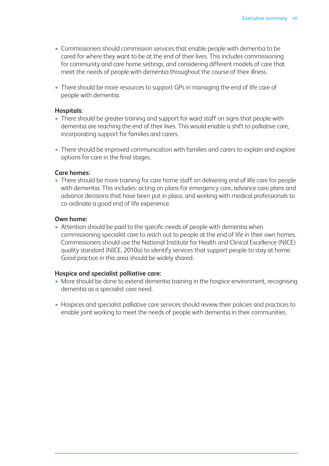- Commissioners should commission services that enable people with dementia to be cared for where they want to be at the end of their lives. This includes commissioning for community and care home settings, and considering different models of care that meet the needs of people with dementia throughout the course of their illness.
- There should be more resources to support GPs in managing the end of life care of people with dementia.

#### **Hospitals:**

- There should be greater training and support for ward staff on signs that people with dementia are reaching the end of their lives. This would enable a shift to palliative care, incorporating support for families and carers.
- There should be improved communication with families and carers to explain and explore options for care in the final stages.

#### **Care homes:**

• There should be more training for care home staff on delivering end of life care for people with dementia. This includes: acting on plans for emergency care, advance care plans and advance decisions that have been put in place, and working with medical professionals to co-ordinate a good end of life experience.

#### **Own home:**

• Attention should be paid to the specific needs of people with dementia when commissioning specialist care to reach out to people at the end of life in their own homes. Commissioners should use the National Institute for Health and Clinical Excellence (NICE) quality standard (NICE, 2010a) to identify services that support people to stay at home. Good practice in this area should be widely shared.

#### **Hospice and specialist palliative care:**

- More should be done to extend dementia training in the hospice environment, recognising dementia as a specialist care need.
- Hospices and specialist palliative care services should review their policies and practices to enable joint working to meet the needs of people with dementia in their communities.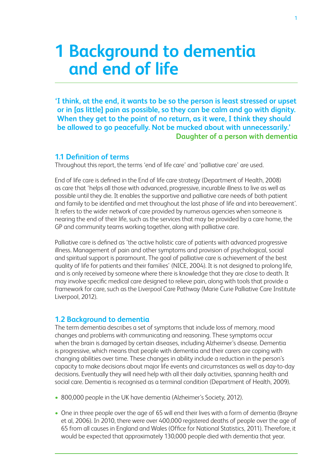## **1 Background to dementia and end of life**

**'I think, at the end, it wants to be so the person is least stressed or upset or in [as little] pain as possible, so they can be calm and go with dignity. When they get to the point of no return, as it were, I think they should be allowed to go peacefully. Not be mucked about with unnecessarily.' Daughter of a person with dementia**

## **1.1 Definition of terms**

Throughout this report, the terms 'end of life care' and 'palliative care' are used.

End of life care is defined in the End of life care strategy (Department of Health, 2008) as care that 'helps all those with advanced, progressive, incurable illness to live as well as possible until they die. It enables the supportive and palliative care needs of both patient and family to be identified and met throughout the last phase of life and into bereavement'. It refers to the wider network of care provided by numerous agencies when someone is nearing the end of their life, such as the services that may be provided by a care home, the GP and community teams working together, along with palliative care.

Palliative care is defined as 'the active holistic care of patients with advanced progressive illness. Management of pain and other symptoms and provision of psychological, social and spiritual support is paramount. The goal of palliative care is achievement of the best quality of life for patients and their families' (NICE, 2004). It is not designed to prolong life, and is only received by someone where there is knowledge that they are close to death. It may involve specific medical care designed to relieve pain, along with tools that provide a framework for care, such as the Liverpool Care Pathway (Marie Curie Palliative Care Institute Liverpool, 2012).

### **1.2 Background to dementia**

The term dementia describes a set of symptoms that include loss of memory, mood changes and problems with communicating and reasoning. These symptoms occur when the brain is damaged by certain diseases, including Alzheimer's disease. Dementia is progressive, which means that people with dementia and their carers are coping with changing abilities over time. These changes in ability include a reduction in the person's capacity to make decisions about major life events and circumstances as well as day-to-day decisions. Eventually they will need help with all their daily activities, spanning health and social care. Dementia is recognised as a terminal condition (Department of Health, 2009).

- 800,000 people in the UK have dementia (Alzheimer's Society, 2012).
- One in three people over the age of 65 will end their lives with a form of dementia (Brayne et al, 2006). In 2010, there were over 400,000 registered deaths of people over the age of 65 from all causes in England and Wales (Office for National Statistics, 2011). Therefore, it would be expected that approximately 130,000 people died with dementia that year.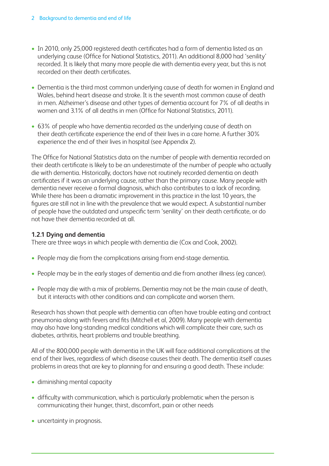- In 2010, only 25,000 registered death certificates had a form of dementia listed as an underlying cause (Office for National Statistics, 2011). An additional 8,000 had 'senility' recorded. It is likely that many more people die with dementia every year, but this is not recorded on their death certificates.
- Dementia is the third most common underlying cause of death for women in England and Wales, behind heart disease and stroke. It is the seventh most common cause of death in men. Alzheimer's disease and other types of dementia account for 7% of all deaths in women and 3.1% of all deaths in men (Office for National Statistics, 2011).
- 63% of people who have dementia recorded as the underlying cause of death on their death certificate experience the end of their lives in a care home. A further 30% experience the end of their lives in hospital (see Appendix 2).

The Office for National Statistics data on the number of people with dementia recorded on their death certificate is likely to be an underestimate of the number of people who actually die with dementia. Historically, doctors have not routinely recorded dementia on death certificates if it was an underlying cause, rather than the primary cause. Many people with dementia never receive a formal diagnosis, which also contributes to a lack of recording. While there has been a dramatic improvement in this practice in the last 10 years, the figures are still not in line with the prevalence that we would expect. A substantial number of people have the outdated and unspecific term 'senility' on their death certificate, or do not have their dementia recorded at all.

## **1.2.1 Dying and dementia**

There are three ways in which people with dementia die (Cox and Cook, 2002).

- People may die from the complications arising from end-stage dementia.
- People may be in the early stages of dementia and die from another illness (eg cancer).
- People may die with a mix of problems. Dementia may not be the main cause of death, but it interacts with other conditions and can complicate and worsen them.

Research has shown that people with dementia can often have trouble eating and contract pneumonia along with fevers and fits (Mitchell et al, 2009). Many people with dementia may also have long-standing medical conditions which will complicate their care, such as diabetes, arthritis, heart problems and trouble breathing.

All of the 800,000 people with dementia in the UK will face additional complications at the end of their lives, regardless of which disease causes their death. The dementia itself causes problems in areas that are key to planning for and ensuring a good death. These include:

- diminishing mental capacity
- difficulty with communication, which is particularly problematic when the person is communicating their hunger, thirst, discomfort, pain or other needs
- uncertainty in prognosis.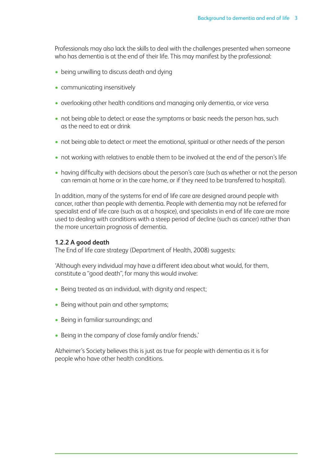Professionals may also lack the skills to deal with the challenges presented when someone who has dementia is at the end of their life. This may manifest by the professional:

- being unwilling to discuss death and dying
- communicating insensitively
- overlooking other health conditions and managing only dementia, or vice versa
- not being able to detect or ease the symptoms or basic needs the person has, such as the need to eat or drink
- not being able to detect or meet the emotional, spiritual or other needs of the person
- not working with relatives to enable them to be involved at the end of the person's life
- having difficulty with decisions about the person's care (such as whether or not the person can remain at home or in the care home, or if they need to be transferred to hospital).

In addition, many of the systems for end of life care are designed around people with cancer, rather than people with dementia. People with dementia may not be referred for specialist end of life care (such as at a hospice), and specialists in end of life care are more used to dealing with conditions with a steep period of decline (such as cancer) rather than the more uncertain prognosis of dementia.

#### **1.2.2 A good death**

The End of life care strategy (Department of Health, 2008) suggests:

'Although every individual may have a different idea about what would, for them, constitute a "good death", for many this would involve:

- Being treated as an individual, with dignity and respect;
- Being without pain and other symptoms;
- Being in familiar surroundings; and
- Being in the company of close family and/or friends.'

Alzheimer's Society believes this is just as true for people with dementia as it is for people who have other health conditions.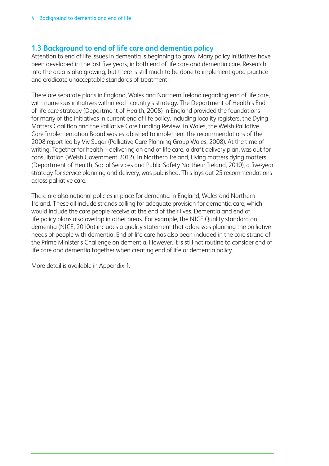## **1.3 Background to end of life care and dementia policy**

Attention to end of life issues in dementia is beginning to grow. Many policy initiatives have been developed in the last five years, in both end of life care and dementia care. Research into the area is also growing, but there is still much to be done to implement good practice and eradicate unacceptable standards of treatment.

There are separate plans in England, Wales and Northern Ireland regarding end of life care, with numerous initiatives within each country's strategy. The Department of Health's End of life care strategy (Department of Health, 2008) in England provided the foundations for many of the initiatives in current end of life policy, including locality registers, the Dying Matters Coalition and the Palliative Care Funding Review. In Wales, the Welsh Palliative Care Implementation Board was established to implement the recommendations of the 2008 report led by Viv Sugar (Palliative Care Planning Group Wales, 2008). At the time of writing, Together for health – delivering on end of life care, a draft delivery plan, was out for consultation (Welsh Government 2012). In Northern Ireland, Living matters dying matters (Department of Health, Social Services and Public Safety Northern Ireland, 2010), a five-year strategy for service planning and delivery, was published. This lays out 25 recommendations across palliative care.

There are also national policies in place for dementia in England, Wales and Northern Ireland. These all include strands calling for adequate provision for dementia care, which would include the care people receive at the end of their lives. Dementia and end of life policy plans also overlap in other areas. For example, the NICE Quality standard on dementia (NICE, 2010a) includes a quality statement that addresses planning the palliative needs of people with dementia. End of life care has also been included in the care strand of the Prime Minister's Challenge on dementia. However, it is still not routine to consider end of life care and dementia together when creating end of life or dementia policy.

More detail is available in Appendix 1.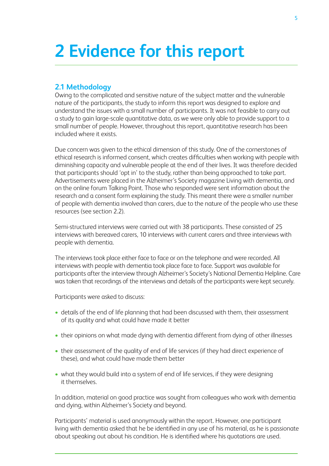# **2 Evidence for this report**

## **2.1 Methodology**

Owing to the complicated and sensitive nature of the subject matter and the vulnerable nature of the participants, the study to inform this report was designed to explore and understand the issues with a small number of participants. It was not feasible to carry out a study to gain large-scale quantitative data, as we were only able to provide support to a small number of people. However, throughout this report, quantitative research has been included where it exists.

Due concern was given to the ethical dimension of this study. One of the cornerstones of ethical research is informed consent, which creates difficulties when working with people with diminishing capacity and vulnerable people at the end of their lives. It was therefore decided that participants should 'opt in' to the study, rather than being approached to take part. Advertisements were placed in the Alzheimer's Society magazine Living with dementia, and on the online forum Talking Point. Those who responded were sent information about the research and a consent form explaining the study. This meant there were a smaller number of people with dementia involved than carers, due to the nature of the people who use these resources (see section 2.2).

Semi-structured interviews were carried out with 38 participants. These consisted of 25 interviews with bereaved carers, 10 interviews with current carers and three interviews with people with dementia.

The interviews took place either face to face or on the telephone and were recorded. All interviews with people with dementia took place face to face. Support was available for participants after the interview through Alzheimer's Society's National Dementia Helpline. Care was taken that recordings of the interviews and details of the participants were kept securely.

Participants were asked to discuss:

- details of the end of life planning that had been discussed with them, their assessment of its quality and what could have made it better
- their opinions on what made dying with dementia different from dying of other illnesses
- their assessment of the quality of end of life services (if they had direct experience of these), and what could have made them better
- what they would build into a system of end of life services, if they were designing it themselves.

In addition, material on good practice was sought from colleagues who work with dementia and dying, within Alzheimer's Society and beyond.

Participants' material is used anonymously within the report. However, one participant living with dementia asked that he be identified in any use of his material, as he is passionate about speaking out about his condition. He is identified where his quotations are used.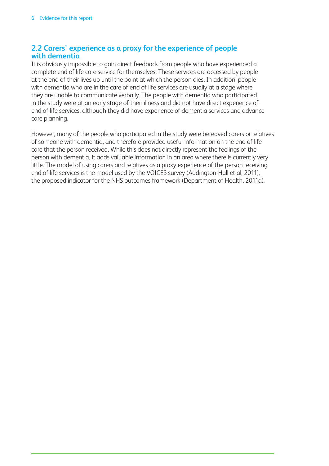## **2.2 Carers' experience as a proxy for the experience of people with dementia**

It is obviously impossible to gain direct feedback from people who have experienced a complete end of life care service for themselves. These services are accessed by people at the end of their lives up until the point at which the person dies. In addition, people with dementia who are in the care of end of life services are usually at a stage where they are unable to communicate verbally. The people with dementia who participated in the study were at an early stage of their illness and did not have direct experience of end of life services, although they did have experience of dementia services and advance care planning.

However, many of the people who participated in the study were bereaved carers or relatives of someone with dementia, and therefore provided useful information on the end of life care that the person received. While this does not directly represent the feelings of the person with dementia, it adds valuable information in an area where there is currently very little. The model of using carers and relatives as a proxy experience of the person receiving end of life services is the model used by the VOICES survey (Addington-Hall et al, 2011), the proposed indicator for the NHS outcomes framework (Department of Health, 2011a).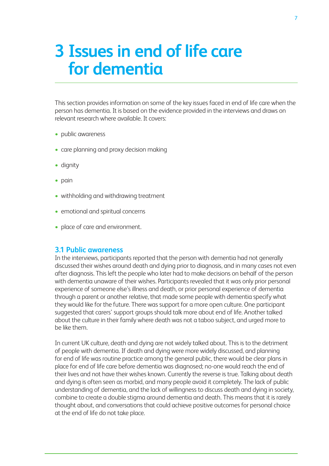## **3 Issues in end of life care for dementia**

This section provides information on some of the key issues faced in end of life care when the person has dementia. It is based on the evidence provided in the interviews and draws on relevant research where available. It covers:

- public awareness
- care planning and proxy decision making
- dignity
- pain
- withholding and withdrawing treatment
- emotional and spiritual concerns
- place of care and environment.

#### **3.1 Public awareness**

In the interviews, participants reported that the person with dementia had not generally discussed their wishes around death and dying prior to diagnosis, and in many cases not even after diagnosis. This left the people who later had to make decisions on behalf of the person with dementia unaware of their wishes. Participants revealed that it was only prior personal experience of someone else's illness and death, or prior personal experience of dementia through a parent or another relative, that made some people with dementia specify what they would like for the future. There was support for a more open culture. One participant suggested that carers' support groups should talk more about end of life. Another talked about the culture in their family where death was not a taboo subject, and urged more to be like them.

In current UK culture, death and dying are not widely talked about. This is to the detriment of people with dementia. If death and dying were more widely discussed, and planning for end of life was routine practice among the general public, there would be clear plans in place for end of life care before dementia was diagnosed; no-one would reach the end of their lives and not have their wishes known. Currently the reverse is true. Talking about death and dying is often seen as morbid, and many people avoid it completely. The lack of public understanding of dementia, and the lack of willingness to discuss death and dying in society, combine to create a double stigma around dementia and death. This means that it is rarely thought about, and conversations that could achieve positive outcomes for personal choice at the end of life do not take place.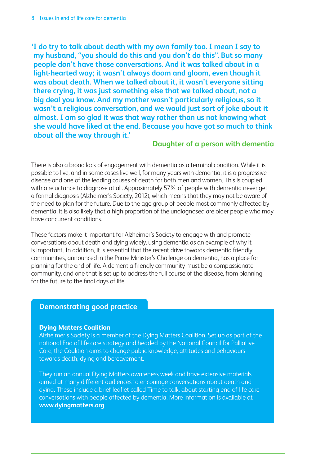**'I do try to talk about death with my own family too. I mean I say to my husband, "you should do this and you don't do this". But so many people don't have those conversations. And it was talked about in a light-hearted way; it wasn't always doom and gloom, even though it was about death. When we talked about it, it wasn't everyone sitting there crying, it was just something else that we talked about, not a big deal you know. And my mother wasn't particularly religious, so it wasn't a religious conversation, and we would just sort of joke about it almost. I am so glad it was that way rather than us not knowing what she would have liked at the end. Because you have got so much to think about all the way through it.'** 

## **Daughter of a person with dementia**

There is also a broad lack of engagement with dementia as a terminal condition. While it is possible to live, and in some cases live well, for many years with dementia, it is a progressive disease and one of the leading causes of death for both men and women. This is coupled with a reluctance to diagnose at all. Approximately 57% of people with dementia never get a formal diagnosis (Alzheimer's Society, 2012), which means that they may not be aware of the need to plan for the future. Due to the age group of people most commonly affected by dementia, it is also likely that a high proportion of the undiagnosed are older people who may have concurrent conditions.

These factors make it important for Alzheimer's Society to engage with and promote conversations about death and dying widely, using dementia as an example of why it is important. In addition, it is essential that the recent drive towards dementia friendly communities, announced in the Prime Minister's Challenge on dementia, has a place for planning for the end of life. A dementia friendly community must be a compassionate community, and one that is set up to address the full course of the disease, from planning for the future to the final days of life.

## **Demonstrating good practice**

#### **Dying Matters Coalition**

Alzheimer's Society is a member of the Dying Matters Coalition. Set up as part of the national End of life care strategy and headed by the National Council for Palliative Care, the Coalition aims to change public knowledge, attitudes and behaviours towards death, dying and bereavement.

They run an annual Dying Matters awareness week and have extensive materials aimed at many different audiences to encourage conversations about death and dying. These include a brief leaflet called Time to talk, about starting end of life care conversations with people affected by dementia. More information is available at **www.dyingmatters.org**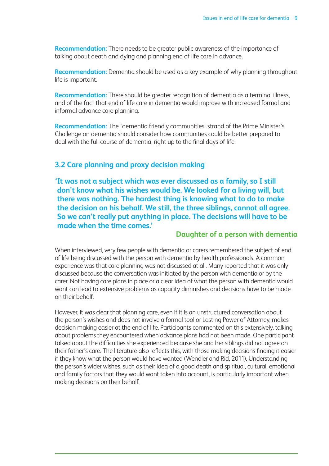**Recommendation:** There needs to be greater public awareness of the importance of talking about death and dying and planning end of life care in advance.

**Recommendation:** Dementia should be used as a key example of why planning throughout life is important.

**Recommendation:** There should be greater recognition of dementia as a terminal illness, and of the fact that end of life care in dementia would improve with increased formal and informal advance care planning.

**Recommendation:** The 'dementia friendly communities' strand of the Prime Minister's Challenge on dementia should consider how communities could be better prepared to deal with the full course of dementia, right up to the final days of life.

### **3.2 Care planning and proxy decision making**

**'It was not a subject which was ever discussed as a family, so I still don't know what his wishes would be. We looked for a living will, but there was nothing. The hardest thing is knowing what to do to make the decision on his behalf. We still, the three siblings, cannot all agree. So we can't really put anything in place. The decisions will have to be made when the time comes.'**

## **Daughter of a person with dementia**

When interviewed, very few people with dementia or carers remembered the subject of end of life being discussed with the person with dementia by health professionals. A common experience was that care planning was not discussed at all. Many reported that it was only discussed because the conversation was initiated by the person with dementia or by the carer. Not having care plans in place or a clear idea of what the person with dementia would want can lead to extensive problems as capacity diminishes and decisions have to be made on their behalf.

However, it was clear that planning care, even if it is an unstructured conversation about the person's wishes and does not involve a formal tool or Lasting Power of Attorney, makes decision making easier at the end of life. Participants commented on this extensively, talking about problems they encountered when advance plans had not been made. One participant talked about the difficulties she experienced because she and her siblings did not agree on their father's care. The literature also reflects this, with those making decisions finding it easier if they know what the person would have wanted (Wendler and Rid, 2011). Understanding the person's wider wishes, such as their idea of a good death and spiritual, cultural, emotional and family factors that they would want taken into account, is particularly important when making decisions on their behalf.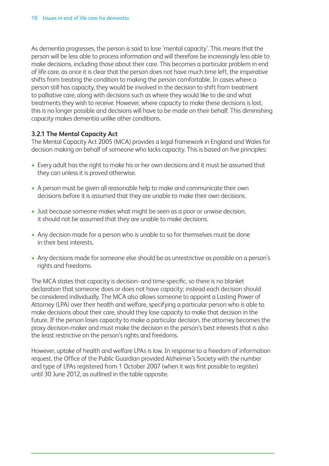As dementia progresses, the person is said to lose 'mental capacity'. This means that the person will be less able to process information and will therefore be increasingly less able to make decisions, including those about their care. This becomes a particular problem in end of life care, as once it is clear that the person does not have much time left, the imperative shifts from treating the condition to making the person comfortable. In cases where a person still has capacity, they would be involved in the decision to shift from treatment to palliative care, along with decisions such as where they would like to die and what treatments they wish to receive. However, where capacity to make these decisions is lost, this is no longer possible and decisions will have to be made on their behalf. This diminishing capacity makes dementia unlike other conditions.

### **3.2.1 The Mental Capacity Act**

The Mental Capacity Act 2005 (MCA) provides a legal framework in England and Wales for decision making on behalf of someone who lacks capacity. This is based on five principles:

- Every adult has the right to make his or her own decisions and it must be assumed that they can unless it is proved otherwise.
- A person must be given all reasonable help to make and communicate their own decisions before it is assumed that they are unable to make their own decisions.
- Just because someone makes what might be seen as a poor or unwise decision, it should not be assumed that they are unable to make decisions.
- Any decision made for a person who is unable to so for themselves must be done in their best interests.
- Any decisions made for someone else should be as unrestrictive as possible on a person's rights and freedoms.

The MCA states that capacity is decision- and time-specific, so there is no blanket declaration that someone does or does not have capacity; instead each decision should be considered individually. The MCA also allows someone to appoint a Lasting Power of Attorney (LPA) over their health and welfare, specifying a particular person who is able to make decisions about their care, should they lose capacity to make that decision in the future. If the person loses capacity to make a particular decision, the attorney becomes the proxy decision-maker and must make the decision in the person's best interests that is also the least restrictive on the person's rights and freedoms.

However, uptake of health and welfare LPAs is low. In response to a freedom of information request, the Office of the Public Guardian provided Alzheimer's Society with the number and type of LPAs registered from 1 October 2007 (when it was first possible to register) until 30 June 2012, as outlined in the table opposite.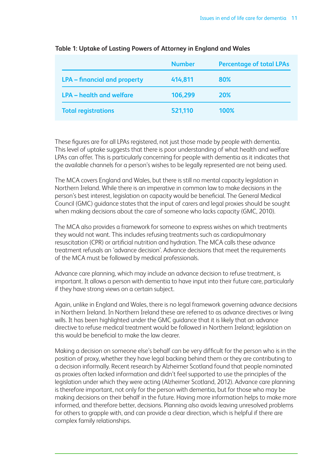|                                     | <b>Number</b> | <b>Percentage of total LPAs</b> |
|-------------------------------------|---------------|---------------------------------|
| <b>LPA – financial and property</b> | 414,811       | 80%                             |
| <b>LPA - health and welfare</b>     | 106,299       | <b>20%</b>                      |
| <b>Total registrations</b>          | 521,110       | 100%                            |

#### **Table 1: Uptake of Lasting Powers of Attorney in England and Wales**

These figures are for all LPAs registered, not just those made by people with dementia. This level of uptake suggests that there is poor understanding of what health and welfare LPAs can offer. This is particularly concerning for people with dementia as it indicates that the available channels for a person's wishes to be legally represented are not being used.

The MCA covers England and Wales, but there is still no mental capacity legislation in Northern Ireland. While there is an imperative in common law to make decisions in the person's best interest, legislation on capacity would be beneficial. The General Medical Council (GMC) guidance states that the input of carers and legal proxies should be sought when making decisions about the care of someone who lacks capacity (GMC, 2010).

The MCA also provides a framework for someone to express wishes on which treatments they would not want. This includes refusing treatments such as cardiopulmonary resuscitation (CPR) or artificial nutrition and hydration. The MCA calls these advance treatment refusals an 'advance decision'. Advance decisions that meet the requirements of the MCA must be followed by medical professionals.

Advance care planning, which may include an advance decision to refuse treatment, is important. It allows a person with dementia to have input into their future care, particularly if they have strong views on a certain subject.

Again, unlike in England and Wales, there is no legal framework governing advance decisions in Northern Ireland. In Northern Ireland these are referred to as advance directives or living wills. It has been highlighted under the GMC guidance that it is likely that an advance directive to refuse medical treatment would be followed in Northern Ireland; legislation on this would be beneficial to make the law clearer.

Making a decision on someone else's behalf can be very difficult for the person who is in the position of proxy, whether they have legal backing behind them or they are contributing to a decision informally. Recent research by Alzheimer Scotland found that people nominated as proxies often lacked information and didn't feel supported to use the principles of the legislation under which they were acting (Alzheimer Scotland, 2012). Advance care planning is therefore important, not only for the person with dementia, but for those who may be making decisions on their behalf in the future. Having more information helps to make more informed, and therefore better, decisions. Planning also avoids leaving unresolved problems for others to grapple with, and can provide a clear direction, which is helpful if there are complex family relationships.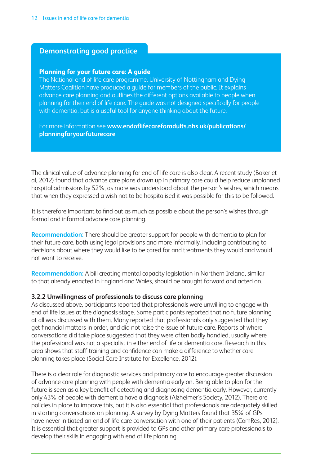#### **Planning for your future care: A guide**

The National end of life care programme, University of Nottingham and Dying Matters Coalition have produced a guide for members of the public. It explains advance care planning and outlines the different options available to people when planning for their end of life care. The guide was not designed specifically for people with dementia, but is a useful tool for anyone thinking about the future.

For more information see **www.endoflifecareforadults.nhs.uk/publications/ planningforyourfuturecare**

The clinical value of advance planning for end of life care is also clear. A recent study (Baker et al, 2012) found that advance care plans drawn up in primary care could help reduce unplanned hospital admissions by 52%, as more was understood about the person's wishes, which means that when they expressed a wish not to be hospitalised it was possible for this to be followed.

It is therefore important to find out as much as possible about the person's wishes through formal and informal advance care planning.

**Recommendation:** There should be greater support for people with dementia to plan for their future care, both using legal provisions and more informally, including contributing to decisions about where they would like to be cared for and treatments they would and would not want to receive.

**Recommendation:** A bill creating mental capacity legislation in Northern Ireland, similar to that already enacted in England and Wales, should be brought forward and acted on.

#### **3.2.2 Unwillingness of professionals to discuss care planning**

As discussed above, participants reported that professionals were unwilling to engage with end of life issues at the diagnosis stage. Some participants reported that no future planning at all was discussed with them. Many reported that professionals only suggested that they get financial matters in order, and did not raise the issue of future care. Reports of where conversations did take place suggested that they were often badly handled, usually where the professional was not a specialist in either end of life or dementia care. Research in this area shows that staff training and confidence can make a difference to whether care planning takes place (Social Care Institute for Excellence, 2012).

There is a clear role for diagnostic services and primary care to encourage greater discussion of advance care planning with people with dementia early on. Being able to plan for the future is seen as a key benefit of detecting and diagnosing dementia early. However, currently only 43% of people with dementia have a diagnosis (Alzheimer's Society, 2012). There are policies in place to improve this, but it is also essential that professionals are adequately skilled in starting conversations on planning. A survey by Dying Matters found that 35% of GPs have never initiated an end of life care conversation with one of their patients (ComRes, 2012). It is essential that greater support is provided to GPs and other primary care professionals to develop their skills in engaging with end of life planning.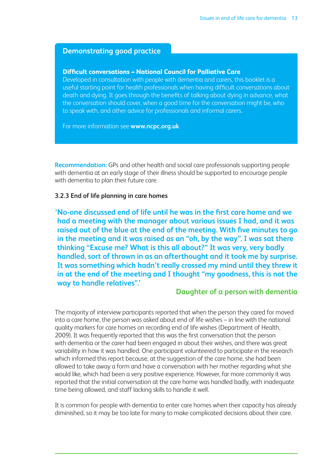#### **Difficult conversations – National Council for Palliative Care**

Developed in consultation with people with dementia and carers, this booklet is a useful starting point for health professionals when having difficult conversations about death and dying. It goes through the benefits of talking about dying in advance, what the conversation should cover, when a good time for the conversation might be, who to speak with, and other advice for professionals and informal carers.

For more information see **www.ncpc.org.uk** 

**Recommendation:** GPs and other health and social care professionals supporting people with dementia at an early stage of their illness should be supported to encourage people with dementia to plan their future care.

#### **3.2.3 End of life planning in care homes**

**'No-one discussed end of life until he was in the first care home and we had a meeting with the manager about various issues I had, and it was raised out of the blue at the end of the meeting. With five minutes to go in the meeting and it was raised as an "oh, by the way". I was sat there thinking "Excuse me? What is this all about?" It was very, very badly handled, sort of thrown in as an afterthought and it took me by surprise. It was something which hadn't really crossed my mind until they threw it in at the end of the meeting and I thought "my goodness, this is not the way to handle relatives".'**

## **Daughter of a person with dementia**

The majority of interview participants reported that when the person they cared for moved into a care home, the person was asked about end of life wishes – in line with the national quality markers for care homes on recording end of life wishes (Department of Health, 2009). It was frequently reported that this was the first conversation that the person with dementia or the carer had been engaged in about their wishes, and there was great variability in how it was handled. One participant volunteered to participate in the research which informed this report because, at the suggestion of the care home, she had been allowed to take away a form and have a conversation with her mother regarding what she would like, which had been a very positive experience. However, far more commonly it was reported that the initial conversation at the care home was handled badly, with inadequate time being allowed, and staff lacking skills to handle it well.

It is common for people with dementia to enter care homes when their capacity has already diminished, so it may be too late for many to make complicated decisions about their care.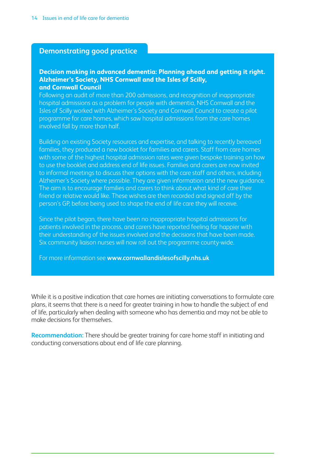#### **Decision making in advanced dementia: Planning ahead and getting it right. Alzheimer's Society, NHS Cornwall and the Isles of Scilly, and Cornwall Council**

Following an audit of more than 200 admissions, and recognition of inappropriate hospital admissions as a problem for people with dementia, NHS Cornwall and the Isles of Scilly worked with Alzheimer's Society and Cornwall Council to create a pilot programme for care homes, which saw hospital admissions from the care homes involved fall by more than half.

Building on existing Society resources and expertise, and talking to recently bereaved families, they produced a new booklet for families and carers. Staff from care homes with some of the highest hospital admission rates were given bespoke training on how to use the booklet and address end of life issues. Families and carers are now invited to informal meetings to discuss their options with the care staff and others, including Alzheimer's Society where possible. They are given information and the new guidance. The aim is to encourage families and carers to think about what kind of care their friend or relative would like. These wishes are then recorded and signed off by the person's GP, before being used to shape the end of life care they will receive.

Since the pilot began, there have been no inappropriate hospital admissions for patients involved in the process, and carers have reported feeling far happier with their understanding of the issues involved and the decisions that have been made. Six community liaison nurses will now roll out the programme county-wide.

For more information see **www.cornwallandislesofscilly.nhs.uk** 

While it is a positive indication that care homes are initiating conversations to formulate care plans, it seems that there is a need for greater training in how to handle the subject of end of life, particularly when dealing with someone who has dementia and may not be able to make decisions for themselves.

**Recommendation:** There should be greater training for care home staff in initiating and conducting conversations about end of life care planning.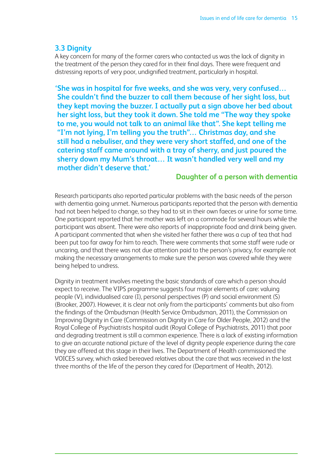## **3.3 Dignity**

A key concern for many of the former carers who contacted us was the lack of dignity in the treatment of the person they cared for in their final days. There were frequent and distressing reports of very poor, undignified treatment, particularly in hospital.

**'She was in hospital for five weeks, and she was very, very confused… She couldn't find the buzzer to call them because of her sight loss, but they kept moving the buzzer. I actually put a sign above her bed about her sight loss, but they took it down. She told me "The way they spoke to me, you would not talk to an animal like that". She kept telling me "I'm not lying, I'm telling you the truth"… Christmas day, and she still had a nebuliser, and they were very short staffed, and one of the catering staff came around with a tray of sherry, and just poured the sherry down my Mum's throat… It wasn't handled very well and my mother didn't deserve that.'**

## **Daughter of a person with dementia**

Research participants also reported particular problems with the basic needs of the person with dementia going unmet. Numerous participants reported that the person with dementia had not been helped to change, so they had to sit in their own faeces or urine for some time. One participant reported that her mother was left on a commode for several hours while the participant was absent. There were also reports of inappropriate food and drink being given. A participant commented that when she visited her father there was a cup of tea that had been put too far away for him to reach. There were comments that some staff were rude or uncaring, and that there was not due attention paid to the person's privacy, for example not making the necessary arrangements to make sure the person was covered while they were being helped to undress.

Dignity in treatment involves meeting the basic standards of care which a person should expect to receive. The VIPS programme suggests four major elements of care: valuing people (V), individualised care (I), personal perspectives (P) and social environment (S) (Brooker, 2007). However, it is clear not only from the participants' comments but also from the findings of the Ombudsman (Health Service Ombudsman, 2011), the Commission on Improving Dignity in Care (Commission on Dignity in Care for Older People, 2012) and the Royal College of Psychiatrists hospital audit (Royal College of Psychiatrists, 2011) that poor and degrading treatment is still a common experience. There is a lack of existing information to give an accurate national picture of the level of dignity people experience during the care they are offered at this stage in their lives. The Department of Health commissioned the VOICES survey, which asked bereaved relatives about the care that was received in the last three months of the life of the person they cared for (Department of Health, 2012).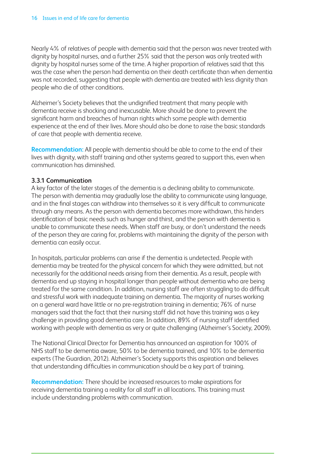Nearly 4% of relatives of people with dementia said that the person was never treated with dignity by hospital nurses, and a further 25% said that the person was only treated with dignity by hospital nurses some of the time. A higher proportion of relatives said that this was the case when the person had dementia on their death certificate than when dementia was not recorded, suggesting that people with dementia are treated with less dignity than people who die of other conditions.

Alzheimer's Society believes that the undignified treatment that many people with dementia receive is shocking and inexcusable. More should be done to prevent the significant harm and breaches of human rights which some people with dementia experience at the end of their lives. More should also be done to raise the basic standards of care that people with dementia receive.

**Recommendation:** All people with dementia should be able to come to the end of their lives with dignity, with staff training and other systems geared to support this, even when communication has diminished.

#### **3.3.1 Communication**

A key factor of the later stages of the dementia is a declining ability to communicate. The person with dementia may gradually lose the ability to communicate using language, and in the final stages can withdraw into themselves so it is very difficult to communicate through any means. As the person with dementia becomes more withdrawn, this hinders identification of basic needs such as hunger and thirst, and the person with dementia is unable to communicate these needs. When staff are busy, or don't understand the needs of the person they are caring for, problems with maintaining the dignity of the person with dementia can easily occur.

In hospitals, particular problems can arise if the dementia is undetected. People with dementia may be treated for the physical concern for which they were admitted, but not necessarily for the additional needs arising from their dementia. As a result, people with dementia end up staying in hospital longer than people without dementia who are being treated for the same condition. In addition, nursing staff are often struggling to do difficult and stressful work with inadequate training on dementia. The majority of nurses working on a general ward have little or no pre-registration training in dementia; 76% of nurse managers said that the fact that their nursing staff did not have this training was a key challenge in providing good dementia care. In addition, 89% of nursing staff identified working with people with dementia as very or quite challenging (Alzheimer's Society, 2009).

The National Clinical Director for Dementia has announced an aspiration for 100% of NHS staff to be dementia aware, 50% to be dementia trained, and 10% to be dementia experts (The Guardian, 2012). Alzheimer's Society supports this aspiration and believes that understanding difficulties in communication should be a key part of training.

**Recommendation:** There should be increased resources to make aspirations for receiving dementia training a reality for all staff in all locations. This training must include understanding problems with communication.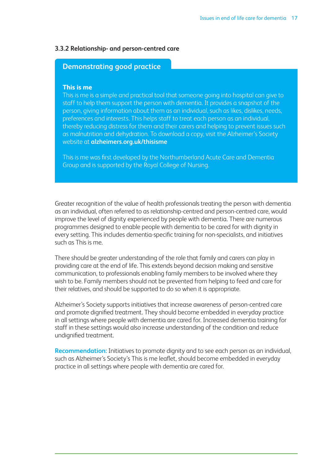#### **3.3.2 Relationship- and person-centred care**

#### **Demonstrating good practice**

#### **This is me**

This is me is a simple and practical tool that someone going into hospital can give to staff to help them support the person with dementia. It provides a snapshot of the person, giving information about them as an individual, such as likes, dislikes, needs, preferences and interests. This helps staff to treat each person as an individual, thereby reducing distress for them and their carers and helping to prevent issues such as malnutrition and dehydration. To download a copy, visit the Alzheimer's Society website at **alzheimers.org.uk/thisisme** 

This is me was first developed by the Northumberland Acute Care and Dementia Group and is supported by the Royal College of Nursing.

Greater recognition of the value of health professionals treating the person with dementia as an individual, often referred to as relationship-centred and person-centred care, would improve the level of dignity experienced by people with dementia. There are numerous programmes designed to enable people with dementia to be cared for with dignity in every setting. This includes dementia-specific training for non-specialists, and initiatives such as This is me.

There should be greater understanding of the role that family and carers can play in providing care at the end of life. This extends beyond decision making and sensitive communication, to professionals enabling family members to be involved where they wish to be. Family members should not be prevented from helping to feed and care for their relatives, and should be supported to do so when it is appropriate.

Alzheimer's Society supports initiatives that increase awareness of person-centred care and promote dignified treatment. They should become embedded in everyday practice in all settings where people with dementia are cared for. Increased dementia training for staff in these settings would also increase understanding of the condition and reduce undignified treatment.

**Recommendation:** Initiatives to promote dignity and to see each person as an individual, such as Alzheimer's Society's This is me leaflet, should become embedded in everyday practice in all settings where people with dementia are cared for.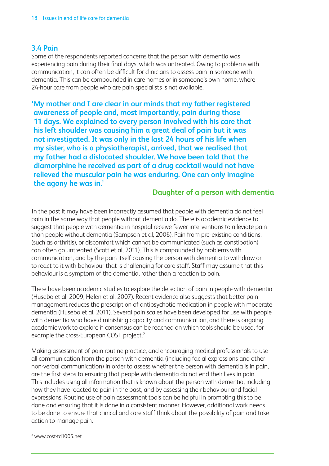## **3.4 Pain**

Some of the respondents reported concerns that the person with dementia was experiencing pain during their final days, which was untreated. Owing to problems with communication, it can often be difficult for clinicians to assess pain in someone with dementia. This can be compounded in care homes or in someone's own home, where 24-hour care from people who are pain specialists is not available.

**'My mother and I are clear in our minds that my father registered awareness of people and, most importantly, pain during those 11 days. We explained to every person involved with his care that his left shoulder was causing him a great deal of pain but it was not investigated. It was only in the last 24 hours of his life when my sister, who is a physiotherapist, arrived, that we realised that my father had a dislocated shoulder. We have been told that the diamorphine he received as part of a drug cocktail would not have relieved the muscular pain he was enduring. One can only imagine the agony he was in.'**

## **Daughter of a person with dementia**

In the past it may have been incorrectly assumed that people with dementia do not feel pain in the same way that people without dementia do. There is academic evidence to suggest that people with dementia in hospital receive fewer interventions to alleviate pain than people without dementia (Sampson et al, 2006). Pain from pre-existing conditions, (such as arthritis), or discomfort which cannot be communicated (such as constipation) can often go untreated (Scott et al, 2011). This is compounded by problems with communication, and by the pain itself causing the person with dementia to withdraw or to react to it with behaviour that is challenging for care staff. Staff may assume that this behaviour is a symptom of the dementia, rather than a reaction to pain.

There have been academic studies to explore the detection of pain in people with dementia (Husebo et al, 2009; Hølen et al, 2007). Recent evidence also suggests that better pain management reduces the prescription of antipsychotic medication in people with moderate dementia (Husebo et al, 2011). Several pain scales have been developed for use with people with dementia who have diminishing capacity and communication, and there is ongoing academic work to explore if consensus can be reached on which tools should be used, for example the cross-European COST project.<sup>2</sup>

Making assessment of pain routine practice, and encouraging medical professionals to use all communication from the person with dementia (including facial expressions and other non-verbal communication) in order to assess whether the person with dementia is in pain, are the first steps to ensuring that people with dementia do not end their lives in pain. This includes using all information that is known about the person with dementia, including how they have reacted to pain in the past, and by assessing their behaviour and facial expressions. Routine use of pain assessment tools can be helpful in prompting this to be done and ensuring that it is done in a consistent manner. However, additional work needs to be done to ensure that clinical and care staff think about the possibility of pain and take action to manage pain.

**<sup>2</sup>** www.cost-td1005.net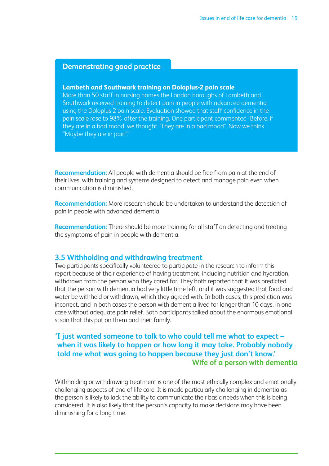#### **Lambeth and Southwark training on Doloplus-2 pain scale**

More than 50 staff in nursing homes the London boroughs of Lambeth and Southwark received training to detect pain in people with advanced dementia using the Doloplus-2 pain scale. Evaluation showed that staff confidence in the pain scale rose to 98% after the training. One participant commented 'Before, if they are in a bad mood, we thought "They are in a bad mood". Now we think "Maybe they are in pain".'

**Recommendation:** All people with dementia should be free from pain at the end of their lives, with training and systems designed to detect and manage pain even when communication is diminished.

**Recommendation:** More research should be undertaken to understand the detection of pain in people with advanced dementia.

**Recommendation:** There should be more training for all staff on detecting and treating the symptoms of pain in people with dementia.

#### **3.5 Withholding and withdrawing treatment**

Two participants specifically volunteered to participate in the research to inform this report because of their experience of having treatment, including nutrition and hydration, withdrawn from the person who they cared for. They both reported that it was predicted that the person with dementia had very little time left, and it was suggested that food and water be withheld or withdrawn, which they agreed with. In both cases, this prediction was incorrect, and in both cases the person with dementia lived for longer than 10 days, in one case without adequate pain relief. Both participants talked about the enormous emotional strain that this put on them and their family.

## **'I just wanted someone to talk to who could tell me what to expect – when it was likely to happen or how long it may take. Probably nobody told me what was going to happen because they just don't know.' Wife of a person with dementia**

Withholding or withdrawing treatment is one of the most ethically complex and emotionally challenging aspects of end of life care. It is made particularly challenging in dementia as the person is likely to lack the ability to communicate their basic needs when this is being considered. It is also likely that the person's capacity to make decisions may have been diminishing for a long time.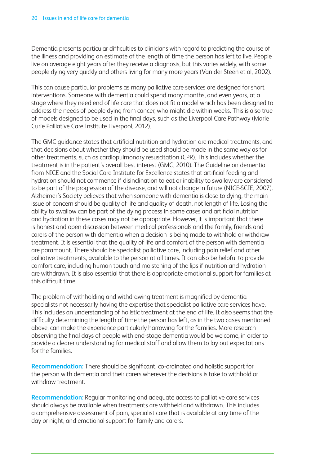Dementia presents particular difficulties to clinicians with regard to predicting the course of the illness and providing an estimate of the length of time the person has left to live. People live on average eight years after they receive a diagnosis, but this varies widely, with some people dying very quickly and others living for many more years (Van der Steen et al, 2002).

This can cause particular problems as many palliative care services are designed for short interventions. Someone with dementia could spend many months, and even years, at a stage where they need end of life care that does not fit a model which has been designed to address the needs of people dying from cancer, who might die within weeks. This is also true of models designed to be used in the final days, such as the Liverpool Care Pathway (Marie Curie Palliative Care Institute Liverpool, 2012).

The GMC guidance states that artificial nutrition and hydration are medical treatments, and that decisions about whether they should be used should be made in the same way as for other treatments, such as cardiopulmonary resuscitation (CPR). This includes whether the treatment is in the patient's overall best interest (GMC, 2010). The Guideline on dementia from NICE and the Social Care Institute for Excellence states that artificial feeding and hydration should not commence if disinclination to eat or inability to swallow are considered to be part of the progression of the disease, and will not change in future (NICE-SCIE, 2007). Alzheimer's Society believes that when someone with dementia is close to dying, the main issue of concern should be quality of life and quality of death, not length of life. Losing the ability to swallow can be part of the dying process in some cases and artificial nutrition and hydration in these cases may not be appropriate. However, it is important that there is honest and open discussion between medical professionals and the family, friends and carers of the person with dementia when a decision is being made to withhold or withdraw treatment. It is essential that the quality of life and comfort of the person with dementia are paramount. There should be specialist palliative care, including pain relief and other palliative treatments, available to the person at all times. It can also be helpful to provide comfort care, including human touch and moistening of the lips if nutrition and hydration are withdrawn. It is also essential that there is appropriate emotional support for families at this difficult time.

The problem of withholding and withdrawing treatment is magnified by dementia specialists not necessarily having the expertise that specialist palliative care services have. This includes an understanding of holistic treatment at the end of life. It also seems that the difficulty determining the length of time the person has left, as in the two cases mentioned above, can make the experience particularly harrowing for the families. More research observing the final days of people with end-stage dementia would be welcome, in order to provide a clearer understanding for medical staff and allow them to lay out expectations for the families.

**Recommendation:** There should be significant, co-ordinated and holistic support for the person with dementia and their carers wherever the decisions is take to withhold or withdraw treatment.

**Recommendation:** Regular monitoring and adequate access to palliative care services should always be available when treatments are withheld and withdrawn. This includes a comprehensive assessment of pain, specialist care that is available at any time of the day or night, and emotional support for family and carers.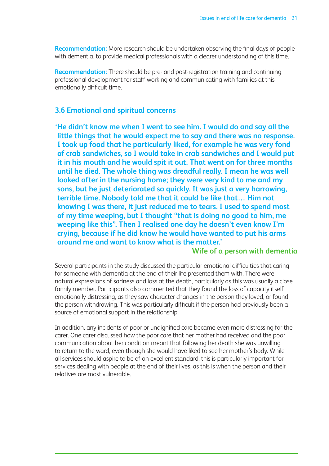**Recommendation:** More research should be undertaken observing the final days of people with dementia, to provide medical professionals with a clearer understanding of this time.

**Recommendation:** There should be pre- and post-registration training and continuing professional development for staff working and communicating with families at this emotionally difficult time.

#### **3.6 Emotional and spiritual concerns**

**'He didn't know me when I went to see him. I would do and say all the little things that he would expect me to say and there was no response. I took up food that he particularly liked, for example he was very fond of crab sandwiches, so I would take in crab sandwiches and I would put it in his mouth and he would spit it out. That went on for three months until he died. The whole thing was dreadful really. I mean he was well looked after in the nursing home; they were very kind to me and my sons, but he just deteriorated so quickly. It was just a very harrowing, terrible time. Nobody told me that it could be like that… Him not knowing I was there, it just reduced me to tears. I used to spend most of my time weeping, but I thought "that is doing no good to him, me weeping like this". Then I realised one day he doesn't even know I'm crying, because if he did know he would have wanted to put his arms around me and want to know what is the matter.'**

#### **Wife of a person with dementia**

Several participants in the study discussed the particular emotional difficulties that caring for someone with dementia at the end of their life presented them with. There were natural expressions of sadness and loss at the death, particularly as this was usually a close family member. Participants also commented that they found the loss of capacity itself emotionally distressing, as they saw character changes in the person they loved, or found the person withdrawing. This was particularly difficult if the person had previously been a source of emotional support in the relationship.

In addition, any incidents of poor or undignified care became even more distressing for the carer. One carer discussed how the poor care that her mother had received and the poor communication about her condition meant that following her death she was unwilling to return to the ward, even though she would have liked to see her mother's body. While all services should aspire to be of an excellent standard, this is particularly important for services dealing with people at the end of their lives, as this is when the person and their relatives are most vulnerable.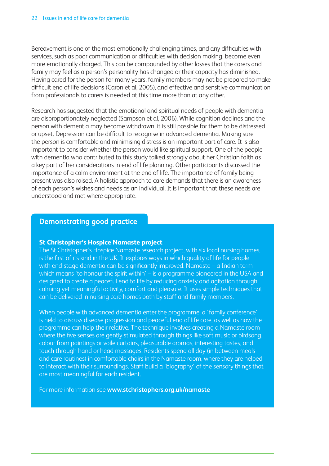Bereavement is one of the most emotionally challenging times, and any difficulties with services, such as poor communication or difficulties with decision making, become even more emotionally charged. This can be compounded by other losses that the carers and family may feel as a person's personality has changed or their capacity has diminished. Having cared for the person for many years, family members may not be prepared to make difficult end of life decisions (Caron et al, 2005), and effective and sensitive communication from professionals to carers is needed at this time more than at any other.

Research has suggested that the emotional and spiritual needs of people with dementia are disproportionately neglected (Sampson et al, 2006). While cognition declines and the person with dementia may become withdrawn, it is still possible for them to be distressed or upset. Depression can be difficult to recognise in advanced dementia. Making sure the person is comfortable and minimising distress is an important part of care. It is also important to consider whether the person would like spiritual support. One of the people with dementia who contributed to this study talked strongly about her Christian faith as a key part of her considerations in end of life planning. Other participants discussed the importance of a calm environment at the end of life. The importance of family being present was also raised. A holistic approach to care demands that there is an awareness of each person's wishes and needs as an individual. It is important that these needs are understood and met where appropriate.

#### **Demonstrating good practice**

#### **St Christopher's Hospice Namaste project**

The St Christopher's Hospice Namaste research project, with six local nursing homes, is the first of its kind in the UK. It explores ways in which quality of life for people with end-stage dementia can be significantly improved. Namaste – a Indian term which means 'to honour the spirit within' – is a programme pioneered in the USA and designed to create a peaceful end to life by reducing anxiety and agitation through calming yet meaningful activity, comfort and pleasure. It uses simple techniques that can be delivered in nursing care homes both by staff and family members.

When people with advanced dementia enter the programme, a 'family conference' is held to discuss disease progression and peaceful end of life care, as well as how the programme can help their relative. The technique involves creating a Namaste room where the five senses are gently stimulated through things like soft music or birdsong, colour from paintings or voile curtains, pleasurable aromas, interesting tastes, and touch through hand or head massages. Residents spend all day (in between meals and care routines) in comfortable chairs in the Namaste room, where they are helped to interact with their surroundings. Staff build a 'biography' of the sensory things that are most meaningful for each resident.

For more information see **www.stchristophers.org.uk/namaste**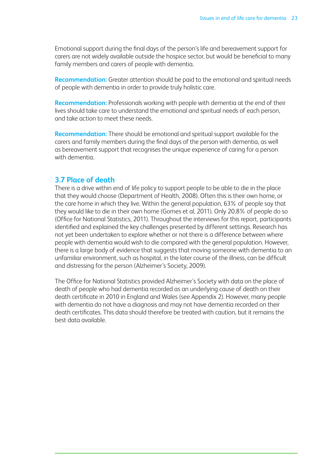Emotional support during the final days of the person's life and bereavement support for carers are not widely available outside the hospice sector, but would be beneficial to many family members and carers of people with dementia.

**Recommendation:** Greater attention should be paid to the emotional and spiritual needs of people with dementia in order to provide truly holistic care.

**Recommendation:** Professionals working with people with dementia at the end of their lives should take care to understand the emotional and spiritual needs of each person, and take action to meet these needs.

**Recommendation:** There should be emotional and spiritual support available for the carers and family members during the final days of the person with dementia, as well as bereavement support that recognises the unique experience of caring for a person with dementia.

## **3.7 Place of death**

There is a drive within end of life policy to support people to be able to die in the place that they would choose (Department of Health, 2008). Often this is their own home, or the care home in which they live. Within the general population, 63% of people say that they would like to die in their own home (Gomes et al, 2011). Only 20.8% of people do so (Office for National Statistics, 2011). Throughout the interviews for this report, participants identified and explained the key challenges presented by different settings. Research has not yet been undertaken to explore whether or not there is a difference between where people with dementia would wish to die compared with the general population. However, there is a large body of evidence that suggests that moving someone with dementia to an unfamiliar environment, such as hospital, in the later course of the illness, can be difficult and distressing for the person (Alzheimer's Society, 2009).

The Office for National Statistics provided Alzheimer's Society with data on the place of death of people who had dementia recorded as an underlying cause of death on their death certificate in 2010 in England and Wales (see Appendix 2). However, many people with dementia do not have a diagnosis and may not have dementia recorded on their death certificates. This data should therefore be treated with caution, but it remains the best data available.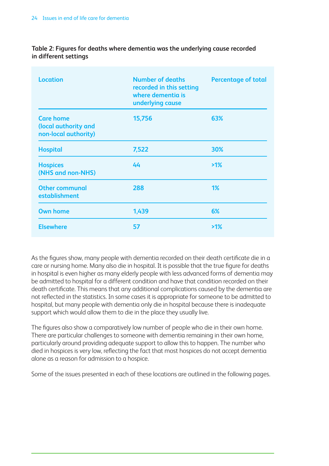| <b>Location</b>                                                  | <b>Number of deaths</b><br>recorded in this setting<br>where dementia is<br>underlying cause | <b>Percentage of total</b> |
|------------------------------------------------------------------|----------------------------------------------------------------------------------------------|----------------------------|
| <b>Care home</b><br>(local authority and<br>non-local authority) | 15,756                                                                                       | 63%                        |
| <b>Hospital</b>                                                  | 7,522                                                                                        | 30%                        |
| <b>Hospices</b><br>(NHS and non-NHS)                             | 44                                                                                           | $>1\%$                     |
| <b>Other communal</b><br>establishment                           | 288                                                                                          | 1%                         |
| <b>Own home</b>                                                  | 1,439                                                                                        | 6%                         |
| <b>Elsewhere</b>                                                 | 57                                                                                           | $>1\%$                     |

**Table 2: Figures for deaths where dementia was the underlying cause recorded in different settings** 

As the figures show, many people with dementia recorded on their death certificate die in a care or nursing home. Many also die in hospital. It is possible that the true figure for deaths in hospital is even higher as many elderly people with less advanced forms of dementia may be admitted to hospital for a different condition and have that condition recorded on their death certificate. This means that any additional complications caused by the dementia are not reflected in the statistics. In some cases it is appropriate for someone to be admitted to hospital, but many people with dementia only die in hospital because there is inadequate support which would allow them to die in the place they usually live.

The figures also show a comparatively low number of people who die in their own home. There are particular challenges to someone with dementia remaining in their own home, particularly around providing adequate support to allow this to happen. The number who died in hospices is very low, reflecting the fact that most hospices do not accept dementia alone as a reason for admission to a hospice.

Some of the issues presented in each of these locations are outlined in the following pages.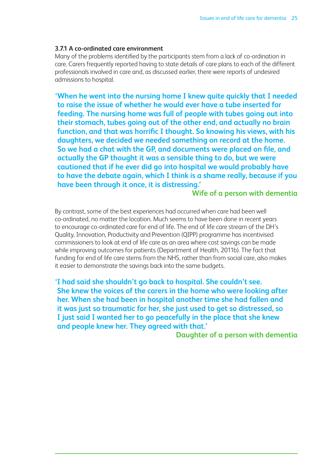#### **3.7.1 A co-ordinated care environment**

Many of the problems identified by the participants stem from a lack of co-ordination in care. Carers frequently reported having to state details of care plans to each of the different professionals involved in care and, as discussed earlier, there were reports of undesired admissions to hospital.

**'When he went into the nursing home I knew quite quickly that I needed to raise the issue of whether he would ever have a tube inserted for feeding. The nursing home was full of people with tubes going out into their stomach, tubes going out of the other end, and actually no brain function, and that was horrific I thought. So knowing his views, with his daughters, we decided we needed something on record at the home. So we had a chat with the GP, and documents were placed on file, and actually the GP thought it was a sensible thing to do, but we were cautioned that if he ever did go into hospital we would probably have to have the debate again, which I think is a shame really, because if you have been through it once, it is distressing.'** 

#### **Wife of a person with dementia**

By contrast, some of the best experiences had occurred when care had been well co-ordinated, no matter the location. Much seems to have been done in recent years to encourage co-ordinated care for end of life. The end of life care stream of the DH's Quality, Innovation, Productivity and Prevention (QIPP) programme has incentivised commissioners to look at end of life care as an area where cost savings can be made while improving outcomes for patients (Department of Health, 2011b). The fact that funding for end of life care stems from the NHS, rather than from social care, also makes it easier to demonstrate the savings back into the same budgets.

**'I had said she shouldn't go back to hospital. She couldn't see. She knew the voices of the carers in the home who were looking after her. When she had been in hospital another time she had fallen and it was just so traumatic for her, she just used to get so distressed, so I just said I wanted her to go peacefully in the place that she knew and people knew her. They agreed with that.'** 

**Daughter of a person with dementia**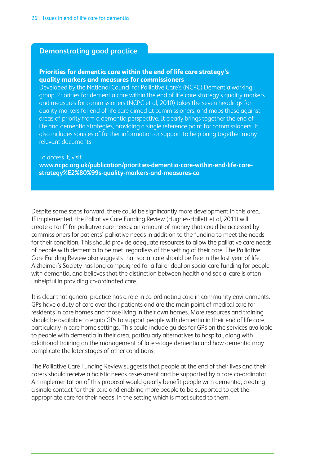#### **Priorities for dementia care within the end of life care strategy's quality markers and measures for commissioners**

Developed by the National Council for Palliative Care's (NCPC) Dementia working group, Priorities for dementia care within the end of life care strategy's quality markers and measures for commissioners (NCPC et al, 2010) takes the seven headings for quality markers for end of life care aimed at commissioners, and maps these against areas of priority from a dementia perspective. It clearly brings together the end of life and dementia strategies, providing a single reference point for commissioners. It also includes sources of further information or support to help bring together many relevant documents.

#### To access it, visit

**www.ncpc.org.uk/publication/priorities-dementia-care-within-end-life-carestrategy%E2%80%99s-quality-markers-and-measures-co**

Despite some steps forward, there could be significantly more development in this area. If implemented, the Palliative Care Funding Review (Hughes-Hallett et al, 2011) will create a tariff for palliative care needs: an amount of money that could be accessed by commissioners for patients' palliative needs in addition to the funding to meet the needs for their condition. This should provide adequate resources to allow the palliative care needs of people with dementia to be met, regardless of the setting of their care. The Palliative Care Funding Review also suggests that social care should be free in the last year of life. Alzheimer's Society has long campaigned for a fairer deal on social care funding for people with dementia, and believes that the distinction between health and social care is often unhelpful in providing co-ordinated care.

It is clear that general practice has a role in co-ordinating care in community environments. GPs have a duty of care over their patients and are the main point of medical care for residents in care homes and those living in their own homes. More resources and training should be available to equip GPs to support people with dementia in their end of life care, particularly in care home settings. This could include guides for GPs on the services available to people with dementia in their area, particularly alternatives to hospital, along with additional training on the management of later-stage dementia and how dementia may complicate the later stages of other conditions.

The Palliative Care Funding Review suggests that people at the end of their lives and their carers should receive a holistic needs assessment and be supported by a care co-ordinator. An implementation of this proposal would greatly benefit people with dementia, creating a single contact for their care and enabling more people to be supported to get the appropriate care for their needs, in the setting which is most suited to them.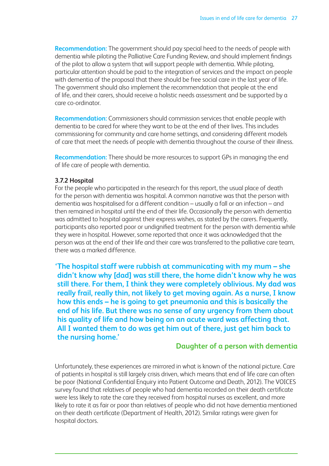**Recommendation:** The government should pay special heed to the needs of people with dementia while piloting the Palliative Care Funding Review, and should implement findings of the pilot to allow a system that will support people with dementia. While piloting, particular attention should be paid to the integration of services and the impact on people with dementia of the proposal that there should be free social care in the last year of life. The government should also implement the recommendation that people at the end of life, and their carers, should receive a holistic needs assessment and be supported by a care co-ordinator.

**Recommendation:** Commissioners should commission services that enable people with dementia to be cared for where they want to be at the end of their lives. This includes commissioning for community and care home settings, and considering different models of care that meet the needs of people with dementia throughout the course of their illness.

**Recommendation:** There should be more resources to support GPs in managing the end of life care of people with dementia.

#### **3.7.2 Hospital**

For the people who participated in the research for this report, the usual place of death for the person with dementia was hospital. A common narrative was that the person with dementia was hospitalised for a different condition – usually a fall or an infection – and then remained in hospital until the end of their life. Occasionally the person with dementia was admitted to hospital against their express wishes, as stated by the carers. Frequently, participants also reported poor or undignified treatment for the person with dementia while they were in hospital. However, some reported that once it was acknowledged that the person was at the end of their life and their care was transferred to the palliative care team, there was a marked difference.

**'The hospital staff were rubbish at communicating with my mum – she didn't know why [dad] was still there, the home didn't know why he was still there. For them, I think they were completely oblivious. My dad was really frail, really thin, not likely to get moving again. As a nurse, I know how this ends – he is going to get pneumonia and this is basically the end of his life. But there was no sense of any urgency from them about his quality of life and how being on an acute ward was affecting that. All I wanted them to do was get him out of there, just get him back to the nursing home.'** 

#### **Daughter of a person with dementia**

Unfortunately, these experiences are mirrored in what is known of the national picture. Care of patients in hospital is still largely crisis driven, which means that end of life care can often be poor (National Confidential Enquiry into Patient Outcome and Death, 2012). The VOICES survey found that relatives of people who had dementia recorded on their death certificate were less likely to rate the care they received from hospital nurses as excellent, and more likely to rate it as fair or poor than relatives of people who did not have dementia mentioned on their death certificate (Department of Health, 2012). Similar ratings were given for hospital doctors.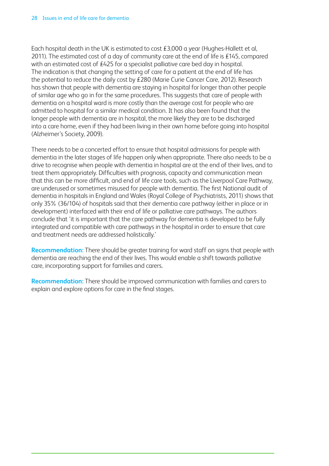Each hospital death in the UK is estimated to cost £3,000 a year (Hughes-Hallett et al, 2011). The estimated cost of a day of community care at the end of life is £145, compared with an estimated cost of £425 for a specialist palliative care bed day in hospital. The indication is that changing the setting of care for a patient at the end of life has the potential to reduce the daily cost by £280 (Marie Curie Cancer Care, 2012). Research has shown that people with dementia are staying in hospital for longer than other people of similar age who go in for the same procedures. This suggests that care of people with dementia on a hospital ward is more costly than the average cost for people who are admitted to hospital for a similar medical condition. It has also been found that the longer people with dementia are in hospital, the more likely they are to be discharged into a care home, even if they had been living in their own home before going into hospital (Alzheimer's Society, 2009).

There needs to be a concerted effort to ensure that hospital admissions for people with dementia in the later stages of life happen only when appropriate. There also needs to be a drive to recognise when people with dementia in hospital are at the end of their lives, and to treat them appropriately. Difficulties with prognosis, capacity and communication mean that this can be more difficult, and end of life care tools, such as the Liverpool Care Pathway, are underused or sometimes misused for people with dementia. The first National audit of dementia in hospitals in England and Wales (Royal College of Psychiatrists, 2011) shows that only 35% (36/104) of hospitals said that their dementia care pathway (either in place or in development) interfaced with their end of life or palliative care pathways. The authors conclude that 'it is important that the care pathway for dementia is developed to be fully integrated and compatible with care pathways in the hospital in order to ensure that care and treatment needs are addressed holistically.'

**Recommendation:** There should be greater training for ward staff on signs that people with dementia are reaching the end of their lives. This would enable a shift towards palliative care, incorporating support for families and carers.

**Recommendation:** There should be improved communication with families and carers to explain and explore options for care in the final stages.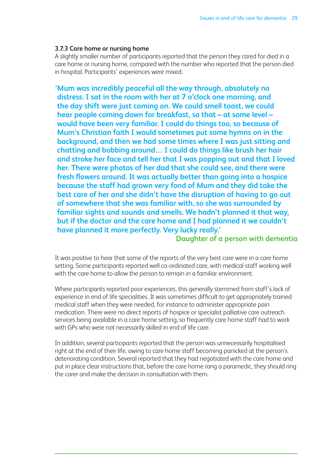#### **3.7.3 Care home or nursing home**

A slightly smaller number of participants reported that the person they cared for died in a care home or nursing home, compared with the number who reported that the person died in hospital. Participants' experiences were mixed.

**'Mum was incredibly peaceful all the way through, absolutely no distress. I sat in the room with her at 7 o'clock one morning, and the day shift were just coming on. We could smell toast, we could hear people coming down for breakfast, so that – at some level – would have been very familiar. I could do things too, so because of Mum's Christian faith I would sometimes put some hymns on in the background, and then we had some times where I was just sitting and chatting and bobbing around… I could do things like brush her hair and stroke her face and tell her that I was popping out and that I loved her. There were photos of her dad that she could see, and there were fresh flowers around. It was actually better than going into a hospice because the staff had grown very fond of Mum and they did take the best care of her and she didn't have the disruption of having to go out of somewhere that she was familiar with, so she was surrounded by familiar sights and sounds and smells. We hadn't planned it that way, but if the doctor and the care home and I had planned it we couldn't have planned it more perfectly. Very lucky really.'** 

**Daughter of a person with dementia**

It was positive to hear that some of the reports of the very best care were in a care home setting. Some participants reported well co-ordinated care, with medical staff working well with the care home to allow the person to remain in a familiar environment.

Where participants reported poor experiences, this generally stemmed from staff's lack of experience in end of life specialities. It was sometimes difficult to get appropriately trained medical staff when they were needed, for instance to administer appropriate pain medication. There were no direct reports of hospice or specialist palliative care outreach services being available in a care home setting, so frequently care home staff had to work with GPs who were not necessarily skilled in end of life care.

In addition, several participants reported that the person was unnecessarily hospitalised right at the end of their life, owing to care home staff becoming panicked at the person's deteriorating condition. Several reported that they had negotiated with the care home and put in place clear instructions that, before the care home rang a paramedic, they should ring the carer and make the decision in consultation with them.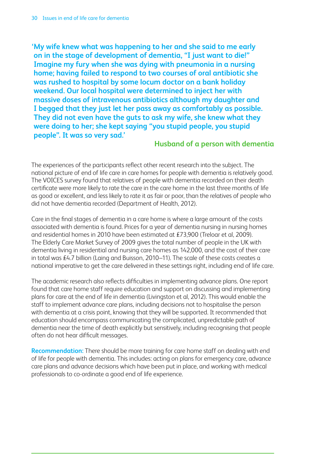**'My wife knew what was happening to her and she said to me early on in the stage of development of dementia, "I just want to die!" Imagine my fury when she was dying with pneumonia in a nursing home; having failed to respond to two courses of oral antibiotic she was rushed to hospital by some locum doctor on a bank holiday weekend. Our local hospital were determined to inject her with massive doses of intravenous antibiotics although my daughter and I begged that they just let her pass away as comfortably as possible. They did not even have the guts to ask my wife, she knew what they were doing to her; she kept saying "you stupid people, you stupid people". It was so very sad.'** 

## **Husband of a person with dementia**

The experiences of the participants reflect other recent research into the subject. The national picture of end of life care in care homes for people with dementia is relatively good. The VOICES survey found that relatives of people with dementia recorded on their death certificate were more likely to rate the care in the care home in the last three months of life as good or excellent, and less likely to rate it as fair or poor, than the relatives of people who did not have dementia recorded (Department of Health, 2012).

Care in the final stages of dementia in a care home is where a large amount of the costs associated with dementia is found. Prices for a year of dementia nursing in nursing homes and residential homes in 2010 have been estimated at £73,900 (Treloar et al, 2009). The Elderly Care Market Survey of 2009 gives the total number of people in the UK with dementia living in residential and nursing care homes as 142,000, and the cost of their care in total was £4.7 billion (Laing and Buisson, 2010–11). The scale of these costs creates a national imperative to get the care delivered in these settings right, including end of life care.

The academic research also reflects difficulties in implementing advance plans. One report found that care home staff require education and support on discussing and implementing plans for care at the end of life in dementia (Livingston et al, 2012). This would enable the staff to implement advance care plans, including decisions not to hospitalise the person with dementia at a crisis point, knowing that they will be supported. It recommended that education should encompass communicating the complicated, unpredictable path of dementia near the time of death explicitly but sensitively, including recognising that people often do not hear difficult messages.

**Recommendation:** There should be more training for care home staff on dealing with end of life for people with dementia. This includes: acting on plans for emergency care, advance care plans and advance decisions which have been put in place, and working with medical professionals to co-ordinate a good end of life experience.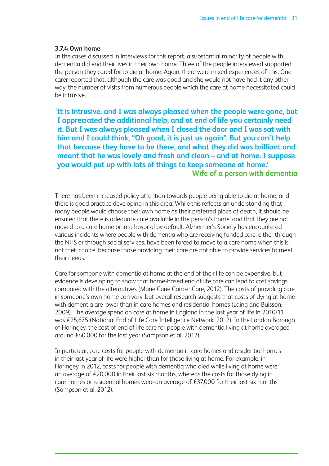#### **3.7.4 Own home**

In the cases discussed in interviews for this report, a substantial minority of people with dementia did end their lives in their own home. Three of the people interviewed supported the person they cared for to die at home. Again, there were mixed experiences of this. One carer reported that, although the care was good and she would not have had it any other way, the number of visits from numerous people which the care at home necessitated could be intrusive.

**'It is intrusive, and I was always pleased when the people were gone, but I appreciated the additional help, and at end of life you certainly need it. But I was always pleased when I closed the door and I was sat with him and I could think, "Oh good, it is just us again". But you can't help that because they have to be there, and what they did was brilliant and meant that he was lovely and fresh and clean – and at home. I suppose you would put up with lots of things to keep someone at home.' Wife of a person with dementia**

There has been increased policy attention towards people being able to die at home, and there is good practice developing in this area. While this reflects an understanding that many people would choose their own home as their preferred place of death, it should be ensured that there is adequate care available in the person's home, and that they are not moved to a care home or into hospital by default. Alzheimer's Society has encountered various incidents where people with dementia who are receiving funded care, either through the NHS or through social services, have been forced to move to a care home when this is not their choice, because those providing their care are not able to provide services to meet their needs.

Care for someone with dementia at home at the end of their life can be expensive, but evidence is developing to show that home-based end of life care can lead to cost savings compared with the alternatives (Marie Curie Cancer Care, 2012). The costs of providing care in someone's own home can vary, but overall research suggests that costs of dying at home with dementia are lower than in care homes and residential homes (Laing and Buisson, 2009). The average spend on care at home in England in the last year of life in 2010/11 was £25,675 (National End of Life Care Intelligence Network, 2012). In the London Borough of Haringey, the cost of end of life care for people with dementia living at home averaged around £40,000 for the last year (Sampson et al, 2012).

In particular, care costs for people with dementia in care homes and residential homes in their last year of life were higher than for those living at home. For example, in Haringey in 2012, costs for people with dementia who died while living at home were an average of £20,000 in their last six months, whereas the costs for those dying in care homes or residential homes were an average of £37,000 for their last six months (Sampson et al, 2012).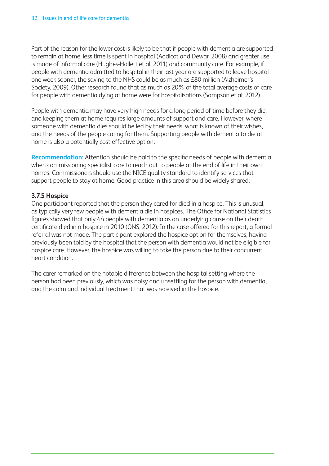Part of the reason for the lower cost is likely to be that if people with dementia are supported to remain at home, less time is spent in hospital (Addicot and Dewar, 2008) and greater use is made of informal care (Hughes-Hallett et al, 2011) and community care. For example, if people with dementia admitted to hospital in their last year are supported to leave hospital one week sooner, the saving to the NHS could be as much as £80 million (Alzheimer's Society, 2009). Other research found that as much as 20% of the total average costs of care for people with dementia dying at home were for hospitalisations (Sampson et al, 2012).

People with dementia may have very high needs for a long period of time before they die, and keeping them at home requires large amounts of support and care. However, where someone with dementia dies should be led by their needs, what is known of their wishes, and the needs of the people caring for them. Supporting people with dementia to die at home is also a potentially cost-effective option.

**Recommendation:** Attention should be paid to the specific needs of people with dementia when commissioning specialist care to reach out to people at the end of life in their own homes. Commissioners should use the NICE quality standard to identify services that support people to stay at home. Good practice in this area should be widely shared.

## **3.7.5 Hospice**

One participant reported that the person they cared for died in a hospice. This is unusual, as typically very few people with dementia die in hospices. The Office for National Statistics figures showed that only 44 people with dementia as an underlying cause on their death certificate died in a hospice in 2010 (ONS, 2012). In the case offered for this report, a formal referral was not made. The participant explored the hospice option for themselves, having previously been told by the hospital that the person with dementia would not be eligible for hospice care. However, the hospice was willing to take the person due to their concurrent heart condition.

The carer remarked on the notable difference between the hospital setting where the person had been previously, which was noisy and unsettling for the person with dementia, and the calm and individual treatment that was received in the hospice.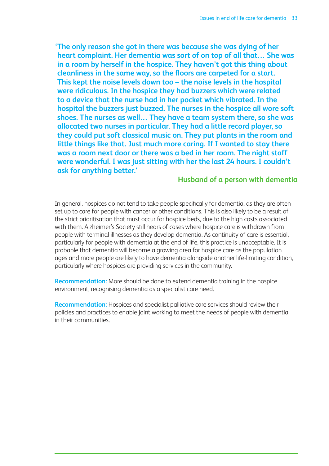**'The only reason she got in there was because she was dying of her heart complaint. Her dementia was sort of on top of all that… She was in a room by herself in the hospice. They haven't got this thing about cleanliness in the same way, so the floors are carpeted for a start. This kept the noise levels down too – the noise levels in the hospital were ridiculous. In the hospice they had buzzers which were related to a device that the nurse had in her pocket which vibrated. In the hospital the buzzers just buzzed. The nurses in the hospice all wore soft shoes. The nurses as well… They have a team system there, so she was allocated two nurses in particular. They had a little record player, so they could put soft classical music on. They put plants in the room and little things like that. Just much more caring. If I wanted to stay there was a room next door or there was a bed in her room. The night staff were wonderful. I was just sitting with her the last 24 hours. I couldn't ask for anything better.'**

### **Husband of a person with dementia**

In general, hospices do not tend to take people specifically for dementia, as they are often set up to care for people with cancer or other conditions. This is also likely to be a result of the strict prioritisation that must occur for hospice beds, due to the high costs associated with them. Alzheimer's Society still hears of cases where hospice care is withdrawn from people with terminal illnesses as they develop dementia. As continuity of care is essential, particularly for people with dementia at the end of life, this practice is unacceptable. It is probable that dementia will become a growing area for hospice care as the population ages and more people are likely to have dementia alongside another life-limiting condition, particularly where hospices are providing services in the community.

**Recommendation:** More should be done to extend dementia training in the hospice environment, recognising dementia as a specialist care need.

**Recommendation:** Hospices and specialist palliative care services should review their policies and practices to enable joint working to meet the needs of people with dementia in their communities.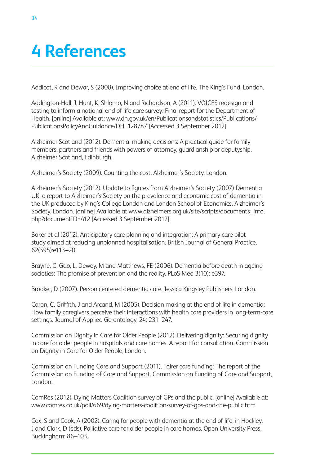# **4 References**

Addicot, R and Dewar, S (2008). Improving choice at end of life. The King's Fund, London.

Addington-Hall, J, Hunt, K, Shlomo, N and Richardson, A (2011). VOICES redesign and testing to inform a national end of life care survey: Final report for the Department of Health. [online] Available at: www.dh.gov.uk/en/Publicationsandstatistics/Publications/ PublicationsPolicyAndGuidance/DH\_128787 [Accessed 3 September 2012].

Alzheimer Scotland (2012). Dementia: making decisions: A practical guide for family members, partners and friends with powers of attorney, guardianship or deputyship. Alzheimer Scotland, Edinburgh.

Alzheimer's Society (2009). Counting the cost. Alzheimer's Society, London.

Alzheimer's Society (2012). Update to figures from Alzheimer's Society (2007) Dementia UK: a report to Alzheimer's Society on the prevalence and economic cost of dementia in the UK produced by King's College London and London School of Economics. Alzheimer's Society, London. [online] Available at www.alzheimers.org.uk/site/scripts/documents\_info. php?documentID=412 [Accessed 3 September 2012].

Baker et al (2012). Anticipatory care planning and integration: A primary care pilot study aimed at reducing unplanned hospitalisation. British Journal of General Practice, 62(595):e113–20.

Brayne, C, Gao, L, Dewey, M and Matthews, FE (2006). Dementia before death in ageing societies: The promise of prevention and the reality. PLoS Med 3(10): e397.

Brooker, D (2007). Person centered dementia care. Jessica Kingsley Publishers, London.

Caron, C, Griffith, J and Arcand, M (2005). Decision making at the end of life in dementia: How family caregivers perceive their interactions with health care providers in long-term-care settings. Journal of Applied Gerontology, 24: 231–247.

Commission on Dignity in Care for Older People (2012). Delivering dignity: Securing dignity in care for older people in hospitals and care homes. A report for consultation. Commission on Dignity in Care for Older People, London.

Commission on Funding Care and Support (2011). Fairer care funding: The report of the Commission on Funding of Care and Support. Commission on Funding of Care and Support, London.

ComRes (2012). Dying Matters Coalition survey of GPs and the public. [online] Available at: www.comres.co.uk/poll/669/dying-matters-coalition-survey-of-gps-and-the-public.htm

Cox, S and Cook, A (2002). Caring for people with dementia at the end of life, in Hockley, J and Clark, D (eds). Palliative care for older people in care homes. Open University Press, Buckingham: 86–103.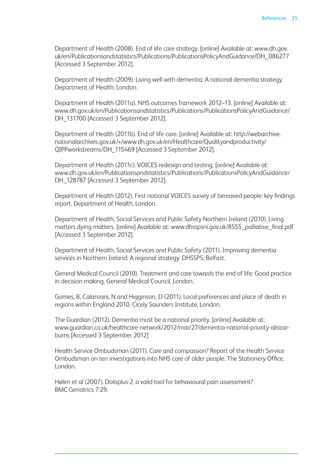Department of Health (2008). End of life care strategy. [online] Available at: www.dh.gov. uk/en/Publicationsandstatistics/Publications/PublicationsPolicyAndGuidance/DH\_086277 [Accessed 3 September 2012].

Department of Health (2009). Living well with dementia: A national dementia strategy. Department of Health, London.

Department of Health (2011a). NHS outcomes framework 2012–13. [online] Available at: www.dh.gov.uk/en/Publicationsandstatistics/Publications/PublicationsPolicyAndGuidance/ DH\_131700 [Accessed 3 September 2012].

Department of Health (2011b). End of life care. [online] Available at: http://webarchive. nationalarchives.gov.uk/+/www.dh.gov.uk/en/Healthcare/Qualityandproductivity/ QIPPworkstreams/DH\_115469 [Accessed 3 September 2012].

Department of Health (2011c). VOICES redesign and testing. [online] Available at: www.dh.gov.uk/en/Publicationsandstatistics/Publications/PublicationsPolicyAndGuidance/ DH\_128787 [Accessed 3 September 2012].

Department of Health (2012). First national VOICES survey of bereaved people: key findings report. Department of Health, London.

Department of Health, Social Services and Public Safety Northern Ireland (2010). Living matters dying matters. [online] Available at: www.dhsspsni.gov.uk/8555\_palliative\_final.pdf [Accessed 3 September 2012].

Department of Health, Social Services and Public Safety (2011). Improving dementia services in Northern Ireland: A regional strategy. DHSSPS, Belfast.

General Medical Council (2010). Treatment and care towards the end of life: Good practice in decision making. General Medical Council, London.

Gomes, B, Calanzani, N and Higginson, IJ (2011). Local preferences and place of death in regions within England 2010. Cicely Saunders Institute, London.

The Guardian (2012). Dementia must be a national priority. [online] Available at: www.guardian.co.uk/healthcare-network/2012/mar/27/dementia-national-priority-alistairburns [Accessed 3 September 2012]

Health Service Ombudsman (2011). Care and compassion? Report of the Health Service Ombudsman on ten investigations into NHS care of older people. The Stationery Office, London.

Hølen et al (2007). Doloplus-2, a valid tool for behavioural pain assessment? BMC Geriatrics 7:29.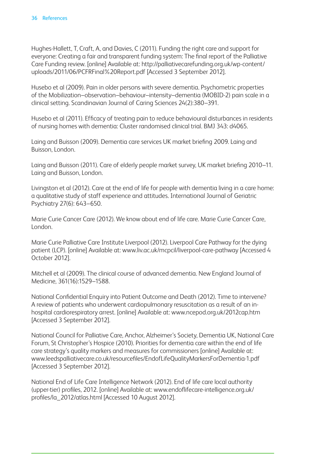Hughes-Hallett, T, Craft, A, and Davies, C (2011). Funding the right care and support for everyone: Creating a fair and transparent funding system: The final report of the Palliative Care Funding review. [online] Available at: http://palliativecarefunding.org.uk/wp-content/ uploads/2011/06/PCFRFinal%20Report.pdf [Accessed 3 September 2012].

Husebo et al (2009). Pain in older persons with severe dementia. Psychometric properties of the Mobilization–observation–behaviour–intensity–dementia (MOBID-2) pain scale in a clinical setting. Scandinavian Journal of Caring Sciences 24(2):380–391.

Husebo et al (2011). Efficacy of treating pain to reduce behavioural disturbances in residents of nursing homes with dementia: Cluster randomised clinical trial. BMJ 343: d4065.

Laing and Buisson (2009). Dementia care services UK market briefing 2009. Laing and Buisson, London.

Laing and Buisson (2011). Care of elderly people market survey, UK market briefing 2010–11. Laing and Buisson, London.

Livingston et al (2012). Care at the end of life for people with dementia living in a care home: a qualitative study of staff experience and attitudes. International Journal of Geriatric Psychiatry 27(6): 643–650.

Marie Curie Cancer Care (2012). We know about end of life care. Marie Curie Cancer Care, London.

Marie Curie Palliative Care Institute Liverpool (2012). Liverpool Care Pathway for the dying patient (LCP). [online] Available at: www.liv.ac.uk/mcpcil/liverpool-care-pathway [Accessed 4 October 2012].

Mitchell et al (2009). The clinical course of advanced dementia. New England Journal of Medicine, 361(16):1529–1588.

National Confidential Enquiry into Patient Outcome and Death (2012). Time to intervene? A review of patients who underwent cardiopulmonary resuscitation as a result of an inhospital cardiorespiratory arrest. [online] Available at: www.ncepod.org.uk/2012cap.htm [Accessed 3 September 2012].

National Council for Palliative Care, Anchor, Alzheimer's Society, Dementia UK, National Care Forum, St Christopher's Hospice (2010). Priorities for dementia care within the end of life care strategy's quality markers and measures for commissioners [online] Available at: www.leedspalliativecare.co.uk/resourcefiles/EndofLifeQualityMarkersForDementia-1.pdf [Accessed 3 September 2012].

National End of Life Care Intelligence Network (2012). End of life care local authority (upper-tier) profiles, 2012. [online] Available at: www.endoflifecare-intelligence.org.uk/ profiles/la\_2012/atlas.html [Accessed 10 August 2012].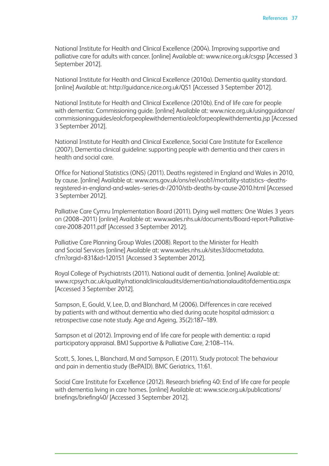National Institute for Health and Clinical Excellence (2004). Improving supportive and palliative care for adults with cancer. [online] Available at: www.nice.org.uk/csgsp [Accessed 3 September 2012].

National Institute for Health and Clinical Excellence (2010a). Dementia quality standard. [online] Available at: http://guidance.nice.org.uk/QS1 [Accessed 3 September 2012].

National Institute for Health and Clinical Excellence (2010b). End of life care for people with dementia: Commissioning guide. [online] Available at: www.nice.org.uk/usingguidance/ commissioningguides/eolcforpeoplewithdementia/eolcforpeoplewithdementia.jsp [Accessed 3 September 2012].

National Institute for Health and Clinical Excellence, Social Care Institute for Excellence (2007), Dementia clinical guideline: supporting people with dementia and their carers in health and social care.

Office for National Statistics (ONS) (2011). Deaths registered in England and Wales in 2010, by cause. [online] Available at: www.ons.gov.uk/ons/rel/vsob1/mortality-statistics--deathsregistered-in-england-and-wales--series-dr-/2010/stb-deaths-by-cause-2010.html [Accessed 3 September 2012].

Palliative Care Cymru Implementation Board (2011). Dying well matters: One Wales 3 years on (2008–2011) [online] Available at: www.wales.nhs.uk/documents/Board-report-Palliativecare-2008-2011.pdf [Accessed 3 September 2012].

Palliative Care Planning Group Wales (2008). Report to the Minister for Health and Social Services [online] Available at: www.wales.nhs.uk/sites3/docmetadata. cfm?orgid=831&id=120151 [Accessed 3 September 2012].

Royal College of Psychiatrists (2011). National audit of dementia. [online] Available at: www.rcpsych.ac.uk/quality/nationalclinicalaudits/dementia/nationalauditofdementia.aspx [Accessed 3 September 2012].

Sampson, E, Gould, V, Lee, D, and Blanchard, M (2006). Differences in care received by patients with and without dementia who died during acute hospital admission: a retrospective case note study. Age and Ageing, 35(2):187–189.

Sampson et al (2012). Improving end of life care for people with dementia: a rapid participatory appraisal. BMJ Supportive & Palliative Care, 2:108–114.

Scott, S, Jones, L, Blanchard, M and Sampson, E (2011). Study protocol: The behaviour and pain in dementia study (BePAID). BMC Geriatrics, 11:61.

Social Care Institute for Excellence (2012). Research briefing 40: End of life care for people with dementia living in care homes. [online] Available at: www.scie.org.uk/publications/ briefings/briefing40/ [Accessed 3 September 2012].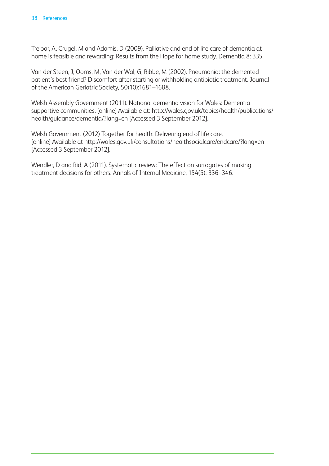Treloar, A, Crugel, M and Adamis, D (2009). Palliative and end of life care of dementia at home is feasible and rewarding: Results from the Hope for home study. Dementia 8: 335.

Van der Steen, J, Ooms, M, Van der Wal, G, Ribbe, M (2002). Pneumonia: the demented patient's best friend? Discomfort after starting or withholding antibiotic treatment. Journal of the American Geriatric Society, 50(10):1681–1688.

Welsh Assembly Government (2011). National dementia vision for Wales: Dementia supportive communities. [online] Available at: http://wales.gov.uk/topics/health/publications/ health/guidance/dementia/?lang=en [Accessed 3 September 2012].

Welsh Government (2012) Together for health: Delivering end of life care. [online] Available at http://wales.gov.uk/consultations/healthsocialcare/endcare/?lang=en [Accessed 3 September 2012].

Wendler, D and Rid, A (2011). Systematic review: The effect on surrogates of making treatment decisions for others. Annals of Internal Medicine, 154(5): 336–346.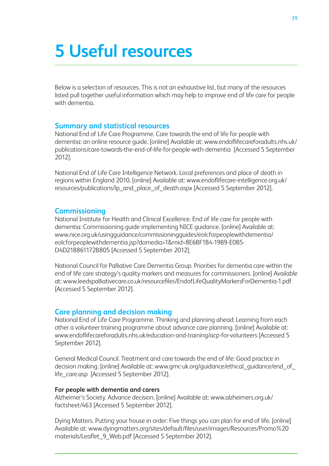# **5 Useful resources**

Below is a selection of resources. This is not an exhaustive list, but many of the resources listed pull together useful information which may help to improve end of life care for people with dementia.

### **Summary and statistical resources**

National End of Life Care Programme. Care towards the end of life for people with dementia: an online resource guide. [online] Available at: www.endoflifecareforadults.nhs.uk/ publications/care-towards-the-end-of-life-for-people-with-dementia [Accessed 5 September 2012].

National End of Life Care Intelligence Network. Local preferences and place of death in regions within England 2010. [online] Available at: www.endoflifecare-intelligence.org.uk/ resources/publications/lp\_and\_place\_of\_death.aspx [Accessed 5 September 2012].

#### **Commissioning**

National Institute for Health and Clinical Excellence. End of life care for people with dementia: Commissioning guide implementing NICE guidance. [online] Available at: www.nice.org.uk/usingguidance/commissioningguides/eolcforpeoplewithdementia/ eolcforpeoplewithdementia.jsp?domedia=1&mid=8E6BF1B4-19B9-E0B5- D4D218861172B805 [Accessed 5 September 2012].

National Council for Palliative Care Dementia Group. Priorities for dementia care within the end of life care strategy's quality markers and measures for commissioners. [online] Available at: www.leedspalliativecare.co.uk/resourcefiles/EndofLifeQualityMarkersForDementia-1.pdf [Accessed 5 September 2012].

#### **Care planning and decision making**

National End of Life Care Programme. Thinking and planning ahead: Learning from each other a volunteer training programme about advance care planning. [online] Available at: www.endoflifecareforadults.nhs.uk/education-and-training/acp-for-volunteers [Accessed 5 September 2012].

General Medical Council. Treatment and care towards the end of life: Good practice in decision making. [online] Available at: www.gmc-uk.org/guidance/ethical\_guidance/end\_of life\_care.asp [Accessed 5 September 2012].

#### **For people with dementia and carers**

Alzheimer's Society. Advance decision. [online] Available at: www.alzheimers.org.uk/ factsheet/463 [Accessed 5 September 2012].

Dying Matters. Putting your house in order: Five things you can plan for end of life. [online] Available at: www.dyingmatters.org/sites/default/files/user/images/Resources/Promo%20 materials/Leaflet\_9\_Web.pdf [Accessed 5 September 2012].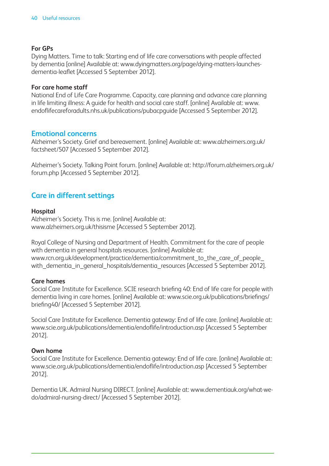#### **For GPs**

Dying Matters. Time to talk: Starting end of life care conversations with people affected by dementia [online] Available at: www.dyingmatters.org/page/dying-matters-launchesdementia-leaflet [Accessed 5 September 2012].

#### **For care home staff**

National End of Life Care Programme. Capacity, care planning and advance care planning in life limiting illness: A guide for health and social care staff. [online] Available at: www. endoflifecareforadults.nhs.uk/publications/pubacpguide [Accessed 5 September 2012].

### **Emotional concerns**

Alzheimer's Society. Grief and bereavement. [online] Available at: www.alzheimers.org.uk/ factsheet/507 [Accessed 5 September 2012].

Alzheimer's Society. Talking Point forum. [online] Available at: http://forum.alzheimers.org.uk/ forum.php [Accessed 5 September 2012].

## **Care in different settings**

#### **Hospital**

Alzheimer's Society. This is me. [online] Available at: www.alzheimers.org.uk/thisisme [Accessed 5 September 2012].

Royal College of Nursing and Department of Health. Commitment for the care of people with dementia in general hospitals resources. [online] Available at: www.rcn.org.uk/development/practice/dementia/commitment\_to\_the\_care\_of\_people with\_dementia\_in\_general\_hospitals/dementia\_resources [Accessed 5 September 2012].

#### **Care homes**

Social Care Institute for Excellence. SCIE research briefing 40: End of life care for people with dementia living in care homes. [online] Available at: www.scie.org.uk/publications/briefings/ briefing40/ [Accessed 5 September 2012].

Social Care Institute for Excellence. Dementia gateway: End of life care. [online] Available at: www.scie.org.uk/publications/dementia/endoflife/introduction.asp [Accessed 5 September 2012].

#### **Own home**

Social Care Institute for Excellence. Dementia gateway: End of life care. [online] Available at: www.scie.org.uk/publications/dementia/endoflife/introduction.asp [Accessed 5 September 2012].

Dementia UK. Admiral Nursing DIRECT. [online] Available at: www.dementiauk.org/what-wedo/admiral-nursing-direct/ [Accessed 5 September 2012].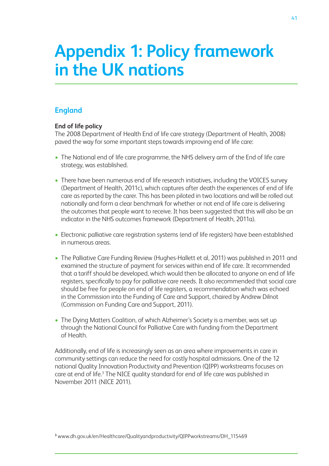# **Appendix 1: Policy framework in the UK nations**

## **England**

## **End of life policy**

The 2008 Department of Health End of life care strategy (Department of Health, 2008) paved the way for some important steps towards improving end of life care:

- The National end of life care programme, the NHS delivery arm of the End of life care strategy, was established.
- There have been numerous end of life research initiatives, including the VOICES survey (Department of Health, 2011c), which captures after death the experiences of end of life care as reported by the carer. This has been piloted in two locations and will be rolled out nationally and form a clear benchmark for whether or not end of life care is delivering the outcomes that people want to receive. It has been suggested that this will also be an indicator in the NHS outcomes framework (Department of Health, 2011a).
- Electronic palliative care registration systems (end of life registers) have been established in numerous areas.
- The Palliative Care Funding Review (Hughes-Hallett et al, 2011) was published in 2011 and examined the structure of payment for services within end of life care. It recommended that a tariff should be developed, which would then be allocated to anyone on end of life registers, specifically to pay for palliative care needs. It also recommended that social care should be free for people on end of life registers, a recommendation which was echoed in the Commission into the Funding of Care and Support, chaired by Andrew Dilnot (Commission on Funding Care and Support, 2011).
- The Dying Matters Coalition, of which Alzheimer's Society is a member, was set up through the National Council for Palliative Care with funding from the Department of Health.

Additionally, end of life is increasingly seen as an area where improvements in care in community settings can reduce the need for costly hospital admissions. One of the 12 national Quality Innovation Productivity and Prevention (QIPP) workstreams focuses on care at end of life.<sup>3</sup> The NICE quality standard for end of life care was published in November 2011 (NICE 2011).

**<sup>3</sup>** www.dh.gov.uk/en/Healthcare/Qualityandproductivity/QIPPworkstreams/DH\_115469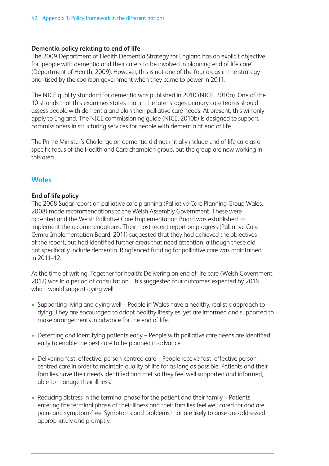#### **Dementia policy relating to end of life**

The 2009 Department of Health Dementia Strategy for England has an explicit objective for 'people with dementia and their carers to be involved in planning end of life care' (Department of Health, 2009). However, this is not one of the four areas in the strategy prioritised by the coalition government when they came to power in 2011.

The NICE quality standard for dementia was published in 2010 (NICE, 2010a). One of the 10 strands that this examines states that in the later stages primary care teams should assess people with dementia and plan their palliative care needs. At present, this will only apply to England. The NICE commissioning guide (NICE, 2010b) is designed to support commissioners in structuring services for people with dementia at end of life.

The Prime Minister's Challenge on dementia did not initially include end of life care as a specific focus of the Health and Care champion group, but the group are now working in this area.

## **Wales**

### **End of life policy**

The 2008 Sugar report on palliative care planning (Palliative Care Planning Group Wales, 2008) made recommendations to the Welsh Assembly Government. These were accepted and the Welsh Palliative Care Implementation Board was established to implement the recommendations. Their most recent report on progress (Palliative Care Cymru Implementation Board, 2011) suggested that they had achieved the objectives of the report, but had identified further areas that need attention, although these did not specifically include dementia. Ringfenced funding for palliative care was maintained in 2011–12.

At the time of writing, Together for health: Delivering on end of life care (Welsh Government 2012) was in a period of consultation. This suggested four outcomes expected by 2016 which would support dying well:

- Supporting living and dying well People in Wales have a healthy, realistic approach to dying. They are encouraged to adopt healthy lifestyles, yet are informed and supported to make arrangements in advance for the end of life.
- Detecting and identifying patients early People with palliative care needs are identified early to enable the best care to be planned in advance.
- Delivering fast, effective, person-centred care People receive fast, effective personcentred care in order to maintain quality of life for as long as possible. Patients and their families have their needs identified and met so they feel well supported and informed, able to manage their illness.
- Reducing distress in the terminal phase for the patient and their family Patients entering the terminal phase of their illness and their families feel well cared for and are pain- and symptom-free. Symptoms and problems that are likely to arise are addressed appropriately and promptly.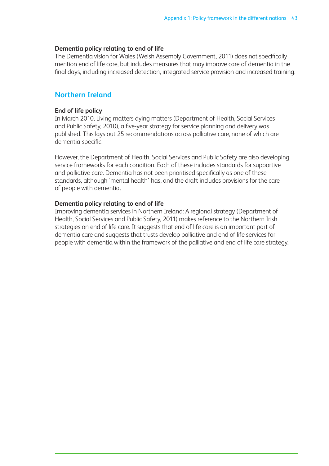#### **Dementia policy relating to end of life**

The Dementia vision for Wales (Welsh Assembly Government, 2011) does not specifically mention end of life care, but includes measures that may improve care of dementia in the final days, including increased detection, integrated service provision and increased training.

## **Northern Ireland**

#### **End of life policy**

In March 2010, Living matters dying matters (Department of Health, Social Services and Public Safety, 2010), a five-year strategy for service planning and delivery was published. This lays out 25 recommendations across palliative care, none of which are dementia-specific.

However, the Department of Health, Social Services and Public Safety are also developing service frameworks for each condition. Each of these includes standards for supportive and palliative care. Dementia has not been prioritised specifically as one of these standards, although 'mental health' has, and the draft includes provisions for the care of people with dementia.

#### **Dementia policy relating to end of life**

Improving dementia services in Northern Ireland: A regional strategy (Department of Health, Social Services and Public Safety, 2011) makes reference to the Northern Irish strategies on end of life care. It suggests that end of life care is an important part of dementia care and suggests that trusts develop palliative and end of life services for people with dementia within the framework of the palliative and end of life care strategy.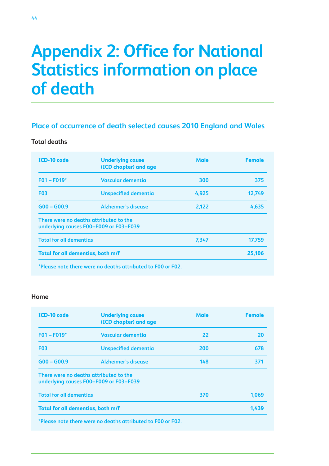# **Appendix 2: Office for National Statistics information on place of death**

## **Place of occurrence of death selected causes 2010 England and Wales**

#### **Total deaths**

| <b>ICD-10 code</b>                       | <b>Underlying cause</b><br>(ICD chapter) and age                                 | <b>Male</b> | <b>Female</b> |
|------------------------------------------|----------------------------------------------------------------------------------|-------------|---------------|
| $F01 - F019*$                            | Vascular dementia                                                                | 300         | 375           |
| <b>F03</b>                               | <b>Unspecified dementia</b>                                                      | 4,925       | 12,749        |
| $G$ 00 – $G$ 00.9                        | Alzheimer's disease                                                              | 2,122       | 4,635         |
|                                          | There were no deaths attributed to the<br>underlying causes F00-F009 or F03-F039 |             |               |
| <b>Total for all dementias</b>           |                                                                                  | 7,347       | 17.759        |
| <b>Total for all dementias, both m/f</b> |                                                                                  |             | 25,106        |
|                                          | *Please note there were no deaths attributed to F00 or F02.                      |             |               |

#### **Home**

| <b>ICD-10 code</b>                       | <b>Underlying cause</b><br>(ICD chapter) and age                                                                | Male | <b>Female</b> |
|------------------------------------------|-----------------------------------------------------------------------------------------------------------------|------|---------------|
| $FO1 - FO19*$                            | Vascular dementia                                                                                               | 22   | 20            |
| <b>F03</b>                               | <b>Unspecified dementia</b>                                                                                     | 200  | 678           |
| $G$ 00 – $G$ 00.9                        | Alzheimer's disease                                                                                             | 148  | 371           |
|                                          | There were no deaths attributed to the<br>underlying causes F00-F009 or F03-F039                                |      |               |
| <b>Total for all dementias</b>           |                                                                                                                 | 370  | 1,069         |
| <b>Total for all dementias, both m/f</b> |                                                                                                                 |      | 1,439         |
|                                          | the contract of the contract of the contract of the contract of the contract of the contract of the contract of |      |               |

**\*Please note there were no deaths attributed to F00 or F02.**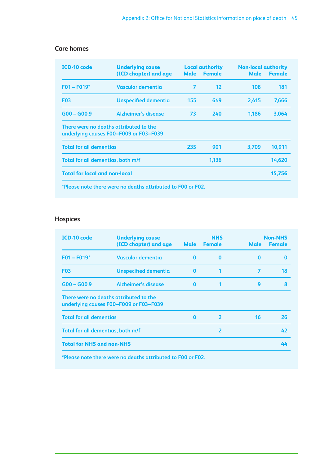| <b>ICD-10 code</b>                   | <b>Underlying cause</b><br>(ICD chapter) and age                                 | <b>Male</b>    | <b>Local authority</b><br><b>Female</b> | <b>Non-local authority</b><br>Male | <b>Female</b> |
|--------------------------------------|----------------------------------------------------------------------------------|----------------|-----------------------------------------|------------------------------------|---------------|
|                                      |                                                                                  |                |                                         |                                    |               |
| $F01 - F019*$                        | Vascular dementia                                                                | $\overline{7}$ | 12                                      | 108                                | 181           |
| <b>F03</b>                           | <b>Unspecified dementia</b>                                                      | 155            | 649                                     | 2,415                              | 7,666         |
| $G$ 00 – $G$ 00.9                    | Alzheimer's disease                                                              | 73             | 240                                     | 1,186                              | 3,064         |
|                                      | There were no deaths attributed to the<br>underlying causes F00-F009 or F03-F039 |                |                                         |                                    |               |
| <b>Total for all dementias</b>       |                                                                                  | 235            | 901                                     | 3,709                              | 10,911        |
| Total for all dementias, both m/f    |                                                                                  |                | 1,136                                   |                                    | 14,620        |
| <b>Total for local and non-local</b> |                                                                                  |                |                                         |                                    | 15,756        |
|                                      | *Please note there were no deaths attributed to F00 or F02.                      |                |                                         |                                    |               |

#### **Care homes**

## **Hospices**

| <b>ICD-10 code</b>                | <b>Underlying cause</b><br>(ICD chapter) and age                                 | <b>Male</b> | <b>NHS</b><br><b>Female</b> | <b>Male</b> | <b>Non-NHS</b><br><b>Female</b> |
|-----------------------------------|----------------------------------------------------------------------------------|-------------|-----------------------------|-------------|---------------------------------|
| $F01 - F019*$                     | Vascular dementia                                                                | $\Omega$    | $\bf{0}$                    | $\Omega$    | 0                               |
| <b>F03</b>                        | <b>Unspecified dementia</b>                                                      | $\Omega$    |                             | 7           | 18                              |
| $G00 - G00.9$                     | Alzheimer's disease                                                              | $\Omega$    |                             | 9           | 8                               |
|                                   | There were no deaths attributed to the<br>underlying causes F00-F009 or F03-F039 |             |                             |             |                                 |
| <b>Total for all dementias</b>    |                                                                                  | $\Omega$    | $\overline{\mathbf{z}}$     | 16          | 26                              |
| Total for all dementias, both m/f |                                                                                  |             | $\overline{2}$              |             | 42                              |
| <b>Total for NHS and non-NHS</b>  |                                                                                  |             |                             |             | 44                              |

**\*Please note there were no deaths attributed to F00 or F02.**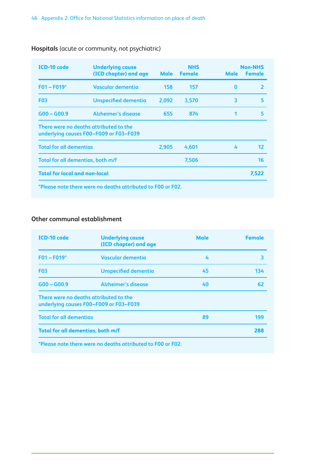| <b>ICD-10 code</b>                   | <b>Underlying cause</b><br>(ICD chapter) and age                                 | <b>Male</b> | <b>NHS</b><br><b>Female</b> | <b>Male</b> | <b>Non-NHS</b><br><b>Female</b> |
|--------------------------------------|----------------------------------------------------------------------------------|-------------|-----------------------------|-------------|---------------------------------|
| $F01 - F019*$                        | Vascular dementia                                                                | 158         | 157                         | $\Omega$    | $\overline{\mathbf{z}}$         |
| <b>F03</b>                           | <b>Unspecified dementia</b>                                                      | 2,092       | 3,570                       | 3           | 5                               |
| $G$ 00 – $G$ 00.9                    | Alzheimer's disease                                                              | 655         | 874                         |             | 5                               |
|                                      | There were no deaths attributed to the<br>underlying causes F00-F009 or F03-F039 |             |                             |             |                                 |
| <b>Total for all dementias</b>       |                                                                                  | 2,905       | 4,601                       | 4           | $12 \overline{ }$               |
| Total for all dementias, both m/f    |                                                                                  |             | 7,506                       |             | 16                              |
| <b>Total for local and non-local</b> |                                                                                  |             |                             |             | 7,522                           |
|                                      | *Please note there were no deaths attributed to F00 or F02.                      |             |                             |             |                                 |

## **Hospitals** (acute or community, not psychiatric)

## **Other communal establishment**

| <b>ICD-10 code</b>                       | <b>Underlying cause</b><br>(ICD chapter) and age                                 | Male | <b>Female</b> |
|------------------------------------------|----------------------------------------------------------------------------------|------|---------------|
| $FO1 - FO19*$                            | Vascular dementia                                                                | 4    | 3             |
| <b>F03</b>                               | <b>Unspecified dementia</b>                                                      | 45   | 134           |
| $G$ 00 – $G$ 00.9                        | Alzheimer's disease                                                              | 40   | 62            |
|                                          | There were no deaths attributed to the<br>underlying causes F00-F009 or F03-F039 |      |               |
| <b>Total for all dementias</b>           |                                                                                  | 89   | 199           |
| <b>Total for all dementias, both m/f</b> |                                                                                  |      | 288           |

**\*Please note there were no deaths attributed to F00 or F02.**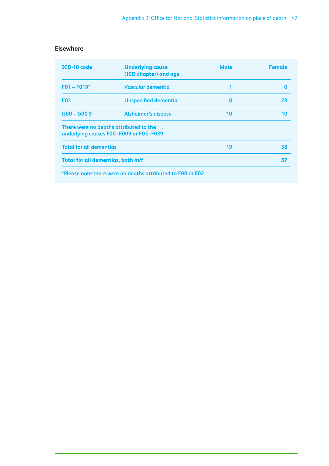| <b>ICD-10 code</b>                       | <b>Underlying cause</b><br>(ICD chapter) and age                                 | Male | <b>Female</b> |
|------------------------------------------|----------------------------------------------------------------------------------|------|---------------|
| $F01 - F019*$                            | Vascular dementia                                                                |      | O             |
| <b>F03</b>                               | <b>Unspecified dementia</b>                                                      | 8    | 28            |
| $G$ 00 – $G$ 00.9                        | Alzheimer's disease                                                              | 10   | 10            |
|                                          | There were no deaths attributed to the<br>underlying causes F00-F009 or F03-F039 |      |               |
| <b>Total for all dementias</b>           |                                                                                  | 19   | 38            |
| <b>Total for all dementias, both m/f</b> |                                                                                  |      | 57            |
|                                          | *Please note there were no deaths attributed to F00 or F02.                      |      |               |

#### **Elsewhere**